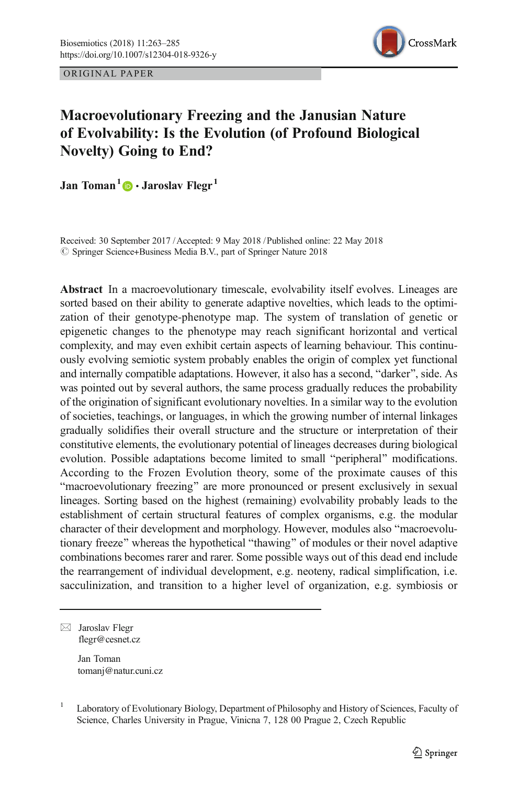



# Macroevolutionary Freezing and the Janusian Nature of Evolvability: Is the Evolution (of Profound Biological Novelty) Going to End?

Jan Toman<sup>1</sup>  $\cdot$  Jaroslav Flegr<sup>1</sup>

Received: 30 September 2017 /Accepted: 9 May 2018 /Published online: 22 May 2018 © Springer Science+Business Media B.V., part of Springer Nature 2018

Abstract In a macroevolutionary timescale, evolvability itself evolves. Lineages are sorted based on their ability to generate adaptive novelties, which leads to the optimization of their genotype-phenotype map. The system of translation of genetic or epigenetic changes to the phenotype may reach significant horizontal and vertical complexity, and may even exhibit certain aspects of learning behaviour. This continuously evolving semiotic system probably enables the origin of complex yet functional and internally compatible adaptations. However, it also has a second, "darker", side. As was pointed out by several authors, the same process gradually reduces the probability of the origination of significant evolutionary novelties. In a similar way to the evolution of societies, teachings, or languages, in which the growing number of internal linkages gradually solidifies their overall structure and the structure or interpretation of their constitutive elements, the evolutionary potential of lineages decreases during biological evolution. Possible adaptations become limited to small "peripheral" modifications. According to the Frozen Evolution theory, some of the proximate causes of this "macroevolutionary freezing" are more pronounced or present exclusively in sexual lineages. Sorting based on the highest (remaining) evolvability probably leads to the establishment of certain structural features of complex organisms, e.g. the modular character of their development and morphology. However, modules also "macroevolutionary freeze" whereas the hypothetical "thawing" of modules or their novel adaptive combinations becomes rarer and rarer. Some possible ways out of this dead end include the rearrangement of individual development, e.g. neoteny, radical simplification, i.e. sacculinization, and transition to a higher level of organization, e.g. symbiosis or

 $\boxtimes$  Jaroslav Flegr [flegr@cesnet.cz](mailto:flegr@cesnet.cz)

> Jan Toman tomanj@natur.cuni.cz

<sup>&</sup>lt;sup>1</sup> Laboratory of Evolutionary Biology, Department of Philosophy and History of Sciences, Faculty of Science, Charles University in Prague, Vinicna 7, 128 00 Prague 2, Czech Republic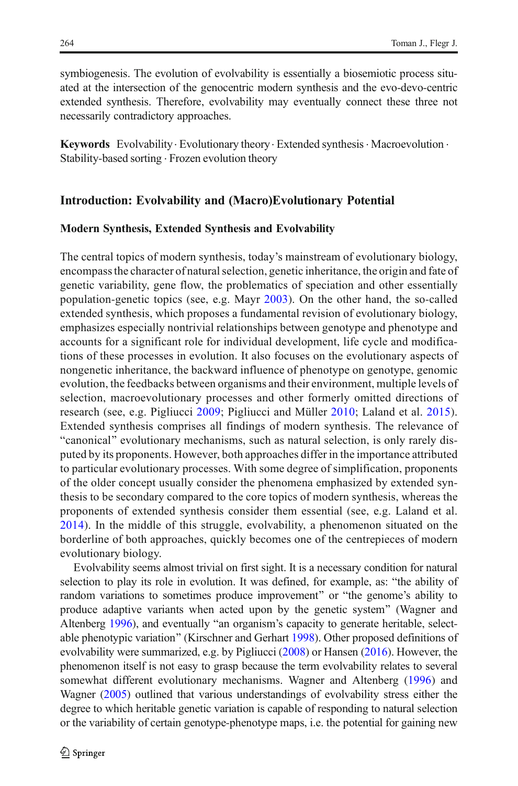symbiogenesis. The evolution of evolvability is essentially a biosemiotic process situated at the intersection of the genocentric modern synthesis and the evo-devo-centric extended synthesis. Therefore, evolvability may eventually connect these three not necessarily contradictory approaches.

Keywords Evolvability Evolutionary theory · Extended synthesis · Macroevolution · Stability-based sorting . Frozen evolution theory

### Introduction: Evolvability and (Macro)Evolutionary Potential

#### Modern Synthesis, Extended Synthesis and Evolvability

The central topics of modern synthesis, today's mainstream of evolutionary biology, encompass the character of natural selection, genetic inheritance, the origin and fate of genetic variability, gene flow, the problematics of speciation and other essentially population-genetic topics (see, e.g. Mayr [2003\)](#page-20-0). On the other hand, the so-called extended synthesis, which proposes a fundamental revision of evolutionary biology, emphasizes especially nontrivial relationships between genotype and phenotype and accounts for a significant role for individual development, life cycle and modifications of these processes in evolution. It also focuses on the evolutionary aspects of nongenetic inheritance, the backward influence of phenotype on genotype, genomic evolution, the feedbacks between organisms and their environment, multiple levels of selection, macroevolutionary processes and other formerly omitted directions of research (see, e.g. Pigliucci [2009](#page-20-0); Pigliucci and Müller [2010](#page-20-0); Laland et al. [2015\)](#page-19-0). Extended synthesis comprises all findings of modern synthesis. The relevance of "canonical" evolutionary mechanisms, such as natural selection, is only rarely disputed by its proponents. However, both approaches differ in the importance attributed to particular evolutionary processes. With some degree of simplification, proponents of the older concept usually consider the phenomena emphasized by extended synthesis to be secondary compared to the core topics of modern synthesis, whereas the proponents of extended synthesis consider them essential (see, e.g. Laland et al. [2014](#page-19-0)). In the middle of this struggle, evolvability, a phenomenon situated on the borderline of both approaches, quickly becomes one of the centrepieces of modern evolutionary biology.

Evolvability seems almost trivial on first sight. It is a necessary condition for natural selection to play its role in evolution. It was defined, for example, as: "the ability of random variations to sometimes produce improvement" or "the genome's ability to produce adaptive variants when acted upon by the genetic system^ (Wagner and Altenberg [1996](#page-22-0)), and eventually "an organism's capacity to generate heritable, select-able phenotypic variation" (Kirschner and Gerhart [1998\)](#page-19-0). Other proposed definitions of evolvability were summarized, e.g. by Pigliucci ([2008](#page-20-0)) or Hansen [\(2016\)](#page-19-0). However, the phenomenon itself is not easy to grasp because the term evolvability relates to several somewhat different evolutionary mechanisms. Wagner and Altenberg [\(1996](#page-22-0)) and Wagner [\(2005\)](#page-21-0) outlined that various understandings of evolvability stress either the degree to which heritable genetic variation is capable of responding to natural selection or the variability of certain genotype-phenotype maps, i.e. the potential for gaining new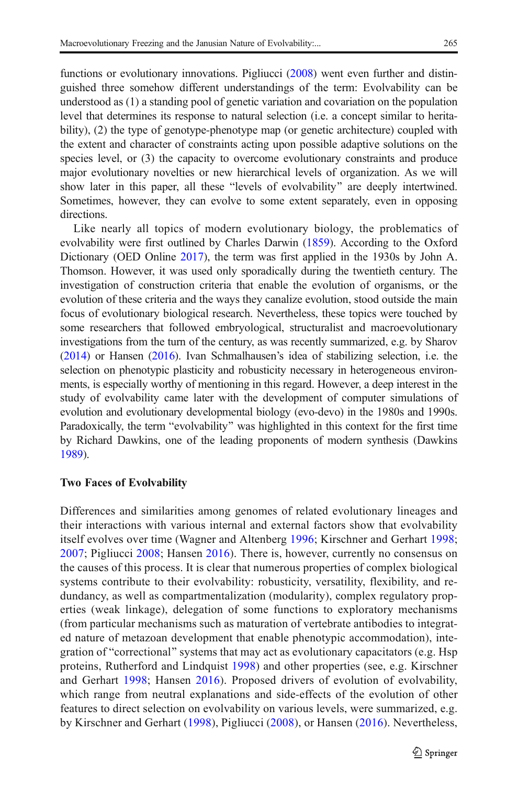functions or evolutionary innovations. Pigliucci [\(2008\)](#page-20-0) went even further and distinguished three somehow different understandings of the term: Evolvability can be understood as (1) a standing pool of genetic variation and covariation on the population level that determines its response to natural selection (i.e. a concept similar to heritability), (2) the type of genotype-phenotype map (or genetic architecture) coupled with the extent and character of constraints acting upon possible adaptive solutions on the species level, or (3) the capacity to overcome evolutionary constraints and produce major evolutionary novelties or new hierarchical levels of organization. As we will show later in this paper, all these "levels of evolvability" are deeply intertwined. Sometimes, however, they can evolve to some extent separately, even in opposing directions.

Like nearly all topics of modern evolutionary biology, the problematics of evolvability were first outlined by Charles Darwin [\(1859\)](#page-18-0). According to the Oxford Dictionary (OED Online [2017\)](#page-20-0), the term was first applied in the 1930s by John A. Thomson. However, it was used only sporadically during the twentieth century. The investigation of construction criteria that enable the evolution of organisms, or the evolution of these criteria and the ways they canalize evolution, stood outside the main focus of evolutionary biological research. Nevertheless, these topics were touched by some researchers that followed embryological, structuralist and macroevolutionary investigations from the turn of the century, as was recently summarized, e.g. by Sharov [\(2014](#page-21-0)) or Hansen [\(2016](#page-19-0)). Ivan Schmalhausen's idea of stabilizing selection, i.e. the selection on phenotypic plasticity and robusticity necessary in heterogeneous environments, is especially worthy of mentioning in this regard. However, a deep interest in the study of evolvability came later with the development of computer simulations of evolution and evolutionary developmental biology (evo-devo) in the 1980s and 1990s. Paradoxically, the term "evolvability" was highlighted in this context for the first time by Richard Dawkins, one of the leading proponents of modern synthesis (Dawkins [1989](#page-18-0)).

### Two Faces of Evolvability

Differences and similarities among genomes of related evolutionary lineages and their interactions with various internal and external factors show that evolvability itself evolves over time (Wagner and Altenberg [1996;](#page-22-0) Kirschner and Gerhart [1998;](#page-19-0) [2007](#page-19-0); Pigliucci [2008](#page-20-0); Hansen [2016](#page-19-0)). There is, however, currently no consensus on the causes of this process. It is clear that numerous properties of complex biological systems contribute to their evolvability: robusticity, versatility, flexibility, and redundancy, as well as compartmentalization (modularity), complex regulatory properties (weak linkage), delegation of some functions to exploratory mechanisms (from particular mechanisms such as maturation of vertebrate antibodies to integrated nature of metazoan development that enable phenotypic accommodation), integration of "correctional" systems that may act as evolutionary capacitators (e.g. Hsp proteins, Rutherford and Lindquist [1998](#page-21-0)) and other properties (see, e.g. Kirschner and Gerhart [1998;](#page-19-0) Hansen [2016\)](#page-19-0). Proposed drivers of evolution of evolvability, which range from neutral explanations and side-effects of the evolution of other features to direct selection on evolvability on various levels, were summarized, e.g. by Kirschner and Gerhart [\(1998\)](#page-19-0), Pigliucci ([2008\)](#page-20-0), or Hansen ([2016](#page-19-0)). Nevertheless,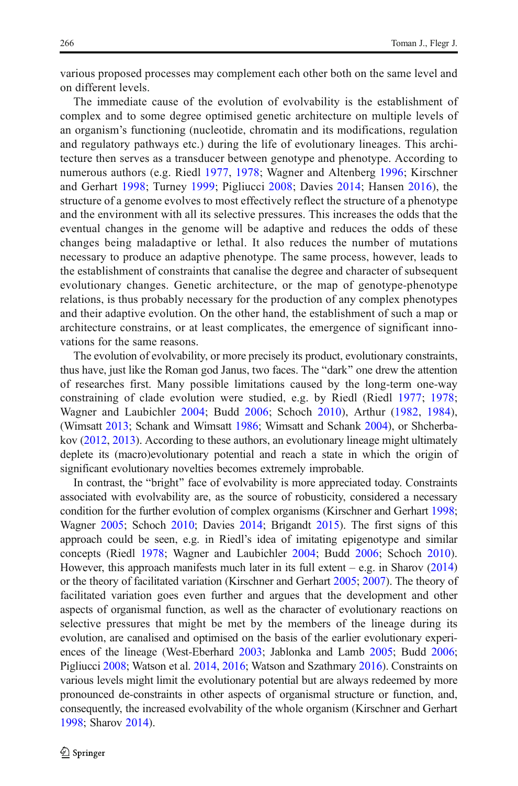various proposed processes may complement each other both on the same level and on different levels.

The immediate cause of the evolution of evolvability is the establishment of complex and to some degree optimised genetic architecture on multiple levels of an organism's functioning (nucleotide, chromatin and its modifications, regulation and regulatory pathways etc.) during the life of evolutionary lineages. This architecture then serves as a transducer between genotype and phenotype. According to numerous authors (e.g. Riedl [1977](#page-21-0), [1978](#page-21-0); Wagner and Altenberg [1996;](#page-22-0) Kirschner and Gerhart [1998;](#page-19-0) Turney [1999](#page-21-0); Pigliucci [2008](#page-20-0); Davies [2014](#page-18-0); Hansen [2016\)](#page-19-0), the structure of a genome evolves to most effectively reflect the structure of a phenotype and the environment with all its selective pressures. This increases the odds that the eventual changes in the genome will be adaptive and reduces the odds of these changes being maladaptive or lethal. It also reduces the number of mutations necessary to produce an adaptive phenotype. The same process, however, leads to the establishment of constraints that canalise the degree and character of subsequent evolutionary changes. Genetic architecture, or the map of genotype-phenotype relations, is thus probably necessary for the production of any complex phenotypes and their adaptive evolution. On the other hand, the establishment of such a map or architecture constrains, or at least complicates, the emergence of significant innovations for the same reasons.

The evolution of evolvability, or more precisely its product, evolutionary constraints, thus have, just like the Roman god Janus, two faces. The "dark" one drew the attention of researches first. Many possible limitations caused by the long-term one-way constraining of clade evolution were studied, e.g. by Riedl (Riedl [1977;](#page-21-0) [1978;](#page-21-0) Wagner and Laubichler [2004;](#page-22-0) Budd [2006](#page-18-0); Schoch [2010\)](#page-21-0), Arthur ([1982](#page-18-0), [1984\)](#page-18-0), (Wimsatt [2013](#page-22-0); Schank and Wimsatt [1986](#page-21-0); Wimsatt and Schank [2004](#page-22-0)), or Shcherbakov [\(2012,](#page-21-0) [2013](#page-21-0)). According to these authors, an evolutionary lineage might ultimately deplete its (macro)evolutionary potential and reach a state in which the origin of significant evolutionary novelties becomes extremely improbable.

In contrast, the "bright" face of evolvability is more appreciated today. Constraints associated with evolvability are, as the source of robusticity, considered a necessary condition for the further evolution of complex organisms (Kirschner and Gerhart [1998;](#page-19-0) Wagner [2005](#page-21-0); Schoch [2010;](#page-21-0) Davies [2014;](#page-18-0) Brigandt [2015](#page-18-0)). The first signs of this approach could be seen, e.g. in Riedl's idea of imitating epigenotype and similar concepts (Riedl [1978](#page-21-0); Wagner and Laubichler [2004](#page-22-0); Budd [2006;](#page-18-0) Schoch [2010\)](#page-21-0). However, this approach manifests much later in its full extent  $-$  e.g. in Sharov ([2014](#page-21-0)) or the theory of facilitated variation (Kirschner and Gerhart [2005;](#page-19-0) [2007](#page-19-0)). The theory of facilitated variation goes even further and argues that the development and other aspects of organismal function, as well as the character of evolutionary reactions on selective pressures that might be met by the members of the lineage during its evolution, are canalised and optimised on the basis of the earlier evolutionary experiences of the lineage (West-Eberhard [2003](#page-22-0); Jablonka and Lamb [2005](#page-19-0); Budd [2006;](#page-18-0) Pigliucci [2008](#page-20-0); Watson et al. [2014,](#page-22-0) [2016](#page-22-0); Watson and Szathmary [2016](#page-22-0)). Constraints on various levels might limit the evolutionary potential but are always redeemed by more pronounced de-constraints in other aspects of organismal structure or function, and, consequently, the increased evolvability of the whole organism (Kirschner and Gerhart [1998;](#page-19-0) Sharov [2014](#page-21-0)).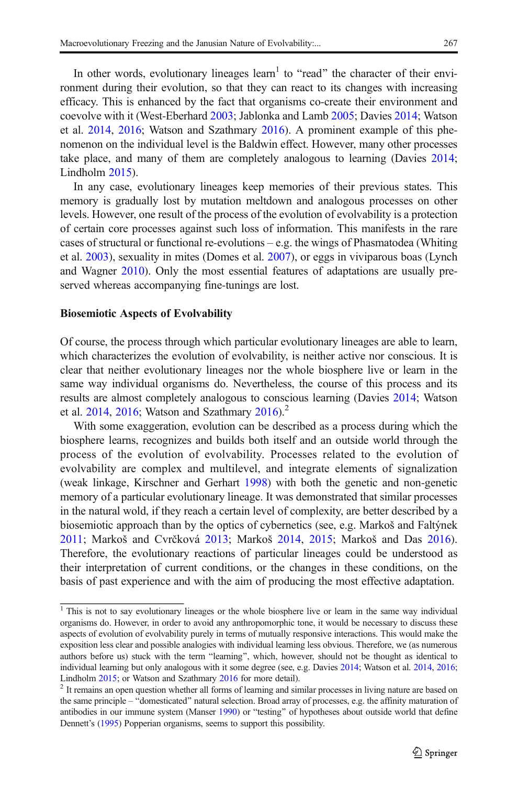In other words, evolutionary lineages learn  $\alpha$  to "read" the character of their environment during their evolution, so that they can react to its changes with increasing efficacy. This is enhanced by the fact that organisms co-create their environment and coevolve with it (West-Eberhard [2003](#page-22-0); Jablonka and Lamb [2005;](#page-19-0) Davies [2014](#page-18-0); Watson et al. [2014](#page-22-0), [2016;](#page-22-0) Watson and Szathmary [2016\)](#page-22-0). A prominent example of this phenomenon on the individual level is the Baldwin effect. However, many other processes take place, and many of them are completely analogous to learning (Davies [2014;](#page-18-0) Lindholm [2015\)](#page-20-0).

In any case, evolutionary lineages keep memories of their previous states. This memory is gradually lost by mutation meltdown and analogous processes on other levels. However, one result of the process of the evolution of evolvability is a protection of certain core processes against such loss of information. This manifests in the rare cases of structural or functional re-evolutions – e.g. the wings of Phasmatodea (Whiting et al. [2003](#page-22-0)), sexuality in mites (Domes et al. [2007\)](#page-18-0), or eggs in viviparous boas (Lynch and Wagner [2010\)](#page-20-0). Only the most essential features of adaptations are usually preserved whereas accompanying fine-tunings are lost.

#### Biosemiotic Aspects of Evolvability

Of course, the process through which particular evolutionary lineages are able to learn, which characterizes the evolution of evolvability, is neither active nor conscious. It is clear that neither evolutionary lineages nor the whole biosphere live or learn in the same way individual organisms do. Nevertheless, the course of this process and its results are almost completely analogous to conscious learning (Davies [2014](#page-18-0); Watson et al. [2014,](#page-22-0) [2016;](#page-22-0) Watson and Szathmary [2016](#page-22-0)).<sup>2</sup>

With some exaggeration, evolution can be described as a process during which the biosphere learns, recognizes and builds both itself and an outside world through the process of the evolution of evolvability. Processes related to the evolution of evolvability are complex and multilevel, and integrate elements of signalization (weak linkage, Kirschner and Gerhart [1998\)](#page-19-0) with both the genetic and non-genetic memory of a particular evolutionary lineage. It was demonstrated that similar processes in the natural wold, if they reach a certain level of complexity, are better described by a biosemiotic approach than by the optics of cybernetics (see, e.g. Markoš and Faltýnek [2011;](#page-20-0) Markoš and Cvrčková [2013;](#page-20-0) Markoš [2014,](#page-20-0) [2015](#page-20-0); Markoš and Das [2016\)](#page-20-0). Therefore, the evolutionary reactions of particular lineages could be understood as their interpretation of current conditions, or the changes in these conditions, on the basis of past experience and with the aim of producing the most effective adaptation.

 $1$ <sup>1</sup> This is not to say evolutionary lineages or the whole biosphere live or learn in the same way individual organisms do. However, in order to avoid any anthropomorphic tone, it would be necessary to discuss these aspects of evolution of evolvability purely in terms of mutually responsive interactions. This would make the exposition less clear and possible analogies with individual learning less obvious. Therefore, we (as numerous authors before us) stuck with the term "learning", which, however, should not be thought as identical to individual learning but only analogous with it some degree (see, e.g. Davies [2014](#page-18-0); Watson et al. [2014,](#page-22-0) [2016](#page-22-0);

Lindholm [2015](#page-20-0); or Watson and Szathmary [2016](#page-22-0) for more detail). <sup>2</sup> It remains an open question whether all forms of learning and similar processes in living nature are based on the same principle – "domesticated" natural selection. Broad array of processes, e.g. the affinity maturation of antibodies in our immune system (Manser [1990](#page-20-0)) or "testing" of hypotheses about outside world that define Dennett's [\(1995\)](#page-18-0) Popperian organisms, seems to support this possibility.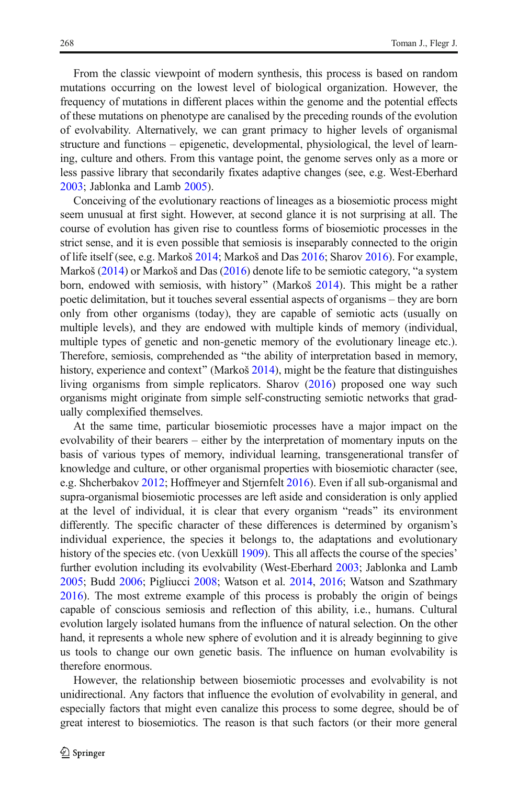From the classic viewpoint of modern synthesis, this process is based on random mutations occurring on the lowest level of biological organization. However, the frequency of mutations in different places within the genome and the potential effects of these mutations on phenotype are canalised by the preceding rounds of the evolution of evolvability. Alternatively, we can grant primacy to higher levels of organismal structure and functions – epigenetic, developmental, physiological, the level of learning, culture and others. From this vantage point, the genome serves only as a more or less passive library that secondarily fixates adaptive changes (see, e.g. West-Eberhard [2003;](#page-22-0) Jablonka and Lamb [2005\)](#page-19-0).

Conceiving of the evolutionary reactions of lineages as a biosemiotic process might seem unusual at first sight. However, at second glance it is not surprising at all. The course of evolution has given rise to countless forms of biosemiotic processes in the strict sense, and it is even possible that semiosis is inseparably connected to the origin of life itself (see, e.g. Markoš [2014](#page-20-0); Markoš and Das [2016](#page-20-0); Sharov [2016\)](#page-21-0). For example, Markoš  $(2014)$  or Markoš and Das  $(2016)$  $(2016)$  $(2016)$  denote life to be semiotic category, "a system born, endowed with semiosis, with history^ (Markoš [2014\)](#page-20-0). This might be a rather poetic delimitation, but it touches several essential aspects of organisms – they are born only from other organisms (today), they are capable of semiotic acts (usually on multiple levels), and they are endowed with multiple kinds of memory (individual, multiple types of genetic and non-genetic memory of the evolutionary lineage etc.). Therefore, semiosis, comprehended as "the ability of interpretation based in memory, history, experience and context" (Markoš [2014](#page-20-0)), might be the feature that distinguishes living organisms from simple replicators. Sharov ([2016\)](#page-21-0) proposed one way such organisms might originate from simple self-constructing semiotic networks that gradually complexified themselves.

At the same time, particular biosemiotic processes have a major impact on the evolvability of their bearers – either by the interpretation of momentary inputs on the basis of various types of memory, individual learning, transgenerational transfer of knowledge and culture, or other organismal properties with biosemiotic character (see, e.g. Shcherbakov [2012;](#page-21-0) Hoffmeyer and Stjernfelt [2016\)](#page-19-0). Even if all sub-organismal and supra-organismal biosemiotic processes are left aside and consideration is only applied at the level of individual, it is clear that every organism "reads" its environment differently. The specific character of these differences is determined by organism's individual experience, the species it belongs to, the adaptations and evolutionary history of the species etc. (von Uexküll [1909](#page-21-0)). This all affects the course of the species' further evolution including its evolvability (West-Eberhard [2003;](#page-22-0) Jablonka and Lamb [2005;](#page-19-0) Budd [2006;](#page-18-0) Pigliucci [2008](#page-20-0); Watson et al. [2014](#page-22-0), [2016;](#page-22-0) Watson and Szathmary [2016\)](#page-22-0). The most extreme example of this process is probably the origin of beings capable of conscious semiosis and reflection of this ability, i.e., humans. Cultural evolution largely isolated humans from the influence of natural selection. On the other hand, it represents a whole new sphere of evolution and it is already beginning to give us tools to change our own genetic basis. The influence on human evolvability is therefore enormous.

However, the relationship between biosemiotic processes and evolvability is not unidirectional. Any factors that influence the evolution of evolvability in general, and especially factors that might even canalize this process to some degree, should be of great interest to biosemiotics. The reason is that such factors (or their more general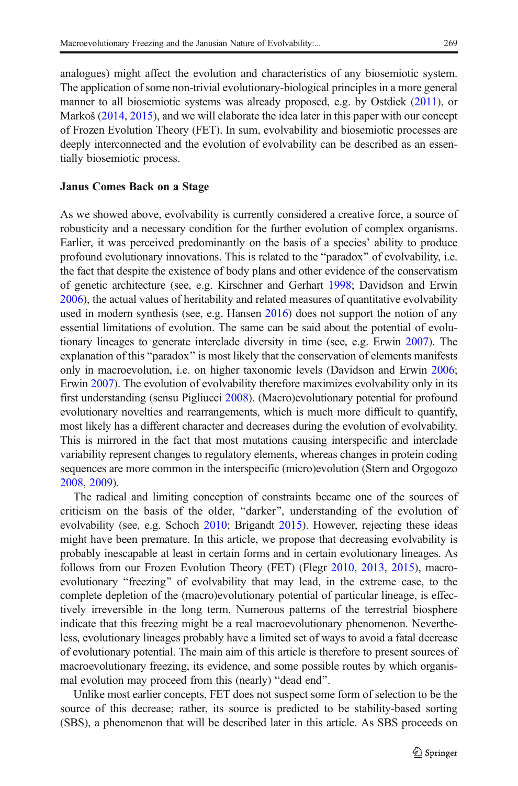analogues) might affect the evolution and characteristics of any biosemiotic system. The application of some non-trivial evolutionary-biological principles in a more general manner to all biosemiotic systems was already proposed, e.g. by Ostdiek ([2011](#page-20-0)), or Markoš [\(2014,](#page-20-0) [2015\)](#page-20-0), and we will elaborate the idea later in this paper with our concept of Frozen Evolution Theory (FET). In sum, evolvability and biosemiotic processes are deeply interconnected and the evolution of evolvability can be described as an essentially biosemiotic process.

### Janus Comes Back on a Stage

As we showed above, evolvability is currently considered a creative force, a source of robusticity and a necessary condition for the further evolution of complex organisms. Earlier, it was perceived predominantly on the basis of a species' ability to produce profound evolutionary innovations. This is related to the "paradox" of evolvability, i.e. the fact that despite the existence of body plans and other evidence of the conservatism of genetic architecture (see, e.g. Kirschner and Gerhart [1998](#page-19-0); Davidson and Erwin [2006\)](#page-18-0), the actual values of heritability and related measures of quantitative evolvability used in modern synthesis (see, e.g. Hansen [2016\)](#page-19-0) does not support the notion of any essential limitations of evolution. The same can be said about the potential of evolutionary lineages to generate interclade diversity in time (see, e.g. Erwin [2007\)](#page-19-0). The explanation of this "paradox" is most likely that the conservation of elements manifests only in macroevolution, i.e. on higher taxonomic levels (Davidson and Erwin [2006;](#page-18-0) Erwin [2007\)](#page-19-0). The evolution of evolvability therefore maximizes evolvability only in its first understanding (sensu Pigliucci [2008\)](#page-20-0). (Macro)evolutionary potential for profound evolutionary novelties and rearrangements, which is much more difficult to quantify, most likely has a different character and decreases during the evolution of evolvability. This is mirrored in the fact that most mutations causing interspecific and interclade variability represent changes to regulatory elements, whereas changes in protein coding sequences are more common in the interspecific (micro)evolution (Stern and Orgogozo [2008,](#page-21-0) [2009\)](#page-21-0).

The radical and limiting conception of constraints became one of the sources of criticism on the basis of the older, "darker", understanding of the evolution of evolvability (see, e.g. Schoch [2010;](#page-21-0) Brigandt [2015](#page-18-0)). However, rejecting these ideas might have been premature. In this article, we propose that decreasing evolvability is probably inescapable at least in certain forms and in certain evolutionary lineages. As follows from our Frozen Evolution Theory (FET) (Flegr [2010,](#page-19-0) [2013](#page-19-0), [2015\)](#page-19-0), macroevolutionary "freezing" of evolvability that may lead, in the extreme case, to the complete depletion of the (macro)evolutionary potential of particular lineage, is effectively irreversible in the long term. Numerous patterns of the terrestrial biosphere indicate that this freezing might be a real macroevolutionary phenomenon. Nevertheless, evolutionary lineages probably have a limited set of ways to avoid a fatal decrease of evolutionary potential. The main aim of this article is therefore to present sources of macroevolutionary freezing, its evidence, and some possible routes by which organismal evolution may proceed from this (nearly) "dead end".

Unlike most earlier concepts, FET does not suspect some form of selection to be the source of this decrease; rather, its source is predicted to be stability-based sorting (SBS), a phenomenon that will be described later in this article. As SBS proceeds on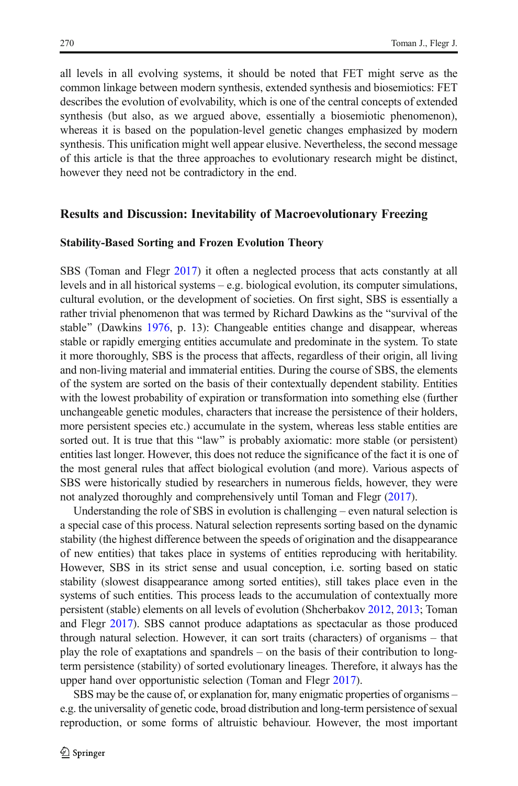all levels in all evolving systems, it should be noted that FET might serve as the common linkage between modern synthesis, extended synthesis and biosemiotics: FET describes the evolution of evolvability, which is one of the central concepts of extended synthesis (but also, as we argued above, essentially a biosemiotic phenomenon), whereas it is based on the population-level genetic changes emphasized by modern synthesis. This unification might well appear elusive. Nevertheless, the second message of this article is that the three approaches to evolutionary research might be distinct, however they need not be contradictory in the end.

### Results and Discussion: Inevitability of Macroevolutionary Freezing

#### Stability-Based Sorting and Frozen Evolution Theory

SBS (Toman and Flegr [2017](#page-21-0)) it often a neglected process that acts constantly at all levels and in all historical systems – e.g. biological evolution, its computer simulations, cultural evolution, or the development of societies. On first sight, SBS is essentially a rather trivial phenomenon that was termed by Richard Dawkins as the "survival of the stable" (Dawkins [1976](#page-18-0), p. 13): Changeable entities change and disappear, whereas stable or rapidly emerging entities accumulate and predominate in the system. To state it more thoroughly, SBS is the process that affects, regardless of their origin, all living and non-living material and immaterial entities. During the course of SBS, the elements of the system are sorted on the basis of their contextually dependent stability. Entities with the lowest probability of expiration or transformation into something else (further unchangeable genetic modules, characters that increase the persistence of their holders, more persistent species etc.) accumulate in the system, whereas less stable entities are sorted out. It is true that this "law" is probably axiomatic: more stable (or persistent) entities last longer. However, this does not reduce the significance of the fact it is one of the most general rules that affect biological evolution (and more). Various aspects of SBS were historically studied by researchers in numerous fields, however, they were not analyzed thoroughly and comprehensively until Toman and Flegr [\(2017\)](#page-21-0).

Understanding the role of SBS in evolution is challenging – even natural selection is a special case of this process. Natural selection represents sorting based on the dynamic stability (the highest difference between the speeds of origination and the disappearance of new entities) that takes place in systems of entities reproducing with heritability. However, SBS in its strict sense and usual conception, i.e. sorting based on static stability (slowest disappearance among sorted entities), still takes place even in the systems of such entities. This process leads to the accumulation of contextually more persistent (stable) elements on all levels of evolution (Shcherbakov [2012,](#page-21-0) [2013](#page-21-0); Toman and Flegr [2017\)](#page-21-0). SBS cannot produce adaptations as spectacular as those produced through natural selection. However, it can sort traits (characters) of organisms – that play the role of exaptations and spandrels – on the basis of their contribution to longterm persistence (stability) of sorted evolutionary lineages. Therefore, it always has the upper hand over opportunistic selection (Toman and Flegr [2017](#page-21-0)).

SBS may be the cause of, or explanation for, many enigmatic properties of organisms – e.g. the universality of genetic code, broad distribution and long-term persistence of sexual reproduction, or some forms of altruistic behaviour. However, the most important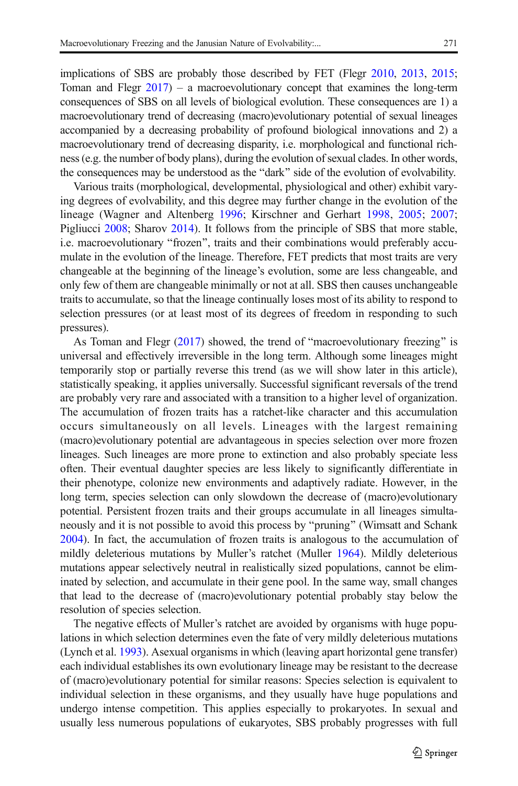implications of SBS are probably those described by FET (Flegr [2010](#page-19-0), [2013,](#page-19-0) [2015;](#page-19-0) Toman and Flegr  $2017$  – a macroevolutionary concept that examines the long-term consequences of SBS on all levels of biological evolution. These consequences are 1) a macroevolutionary trend of decreasing (macro)evolutionary potential of sexual lineages accompanied by a decreasing probability of profound biological innovations and 2) a macroevolutionary trend of decreasing disparity, i.e. morphological and functional richness (e.g. the number of body plans), during the evolution of sexual clades. In other words, the consequences may be understood as the "dark" side of the evolution of evolvability.

Various traits (morphological, developmental, physiological and other) exhibit varying degrees of evolvability, and this degree may further change in the evolution of the lineage (Wagner and Altenberg [1996](#page-22-0); Kirschner and Gerhart [1998](#page-19-0), [2005](#page-19-0); [2007;](#page-19-0) Pigliucci [2008](#page-20-0); Sharov [2014\)](#page-21-0). It follows from the principle of SBS that more stable, i.e. macroevolutionary "frozen", traits and their combinations would preferably accumulate in the evolution of the lineage. Therefore, FET predicts that most traits are very changeable at the beginning of the lineage's evolution, some are less changeable, and only few of them are changeable minimally or not at all. SBS then causes unchangeable traits to accumulate, so that the lineage continually loses most of its ability to respond to selection pressures (or at least most of its degrees of freedom in responding to such pressures).

As Toman and Flegr  $(2017)$  $(2017)$  $(2017)$  showed, the trend of "macroevolutionary freezing" is universal and effectively irreversible in the long term. Although some lineages might temporarily stop or partially reverse this trend (as we will show later in this article), statistically speaking, it applies universally. Successful significant reversals of the trend are probably very rare and associated with a transition to a higher level of organization. The accumulation of frozen traits has a ratchet-like character and this accumulation occurs simultaneously on all levels. Lineages with the largest remaining (macro)evolutionary potential are advantageous in species selection over more frozen lineages. Such lineages are more prone to extinction and also probably speciate less often. Their eventual daughter species are less likely to significantly differentiate in their phenotype, colonize new environments and adaptively radiate. However, in the long term, species selection can only slowdown the decrease of (macro)evolutionary potential. Persistent frozen traits and their groups accumulate in all lineages simultaneously and it is not possible to avoid this process by "pruning" (Wimsatt and Schank [2004\)](#page-22-0). In fact, the accumulation of frozen traits is analogous to the accumulation of mildly deleterious mutations by Muller's ratchet (Muller [1964](#page-20-0)). Mildly deleterious mutations appear selectively neutral in realistically sized populations, cannot be eliminated by selection, and accumulate in their gene pool. In the same way, small changes that lead to the decrease of (macro)evolutionary potential probably stay below the resolution of species selection.

The negative effects of Muller's ratchet are avoided by organisms with huge populations in which selection determines even the fate of very mildly deleterious mutations (Lynch et al. [1993\)](#page-20-0). Asexual organisms in which (leaving apart horizontal gene transfer) each individual establishes its own evolutionary lineage may be resistant to the decrease of (macro)evolutionary potential for similar reasons: Species selection is equivalent to individual selection in these organisms, and they usually have huge populations and undergo intense competition. This applies especially to prokaryotes. In sexual and usually less numerous populations of eukaryotes, SBS probably progresses with full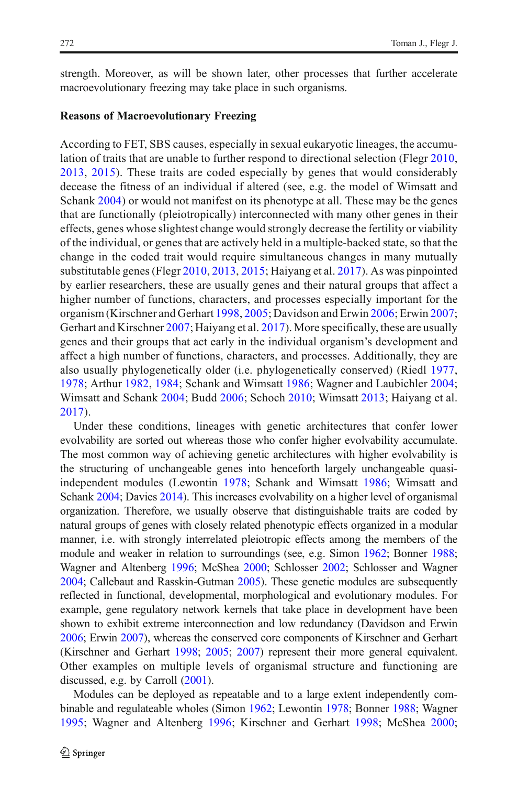strength. Moreover, as will be shown later, other processes that further accelerate macroevolutionary freezing may take place in such organisms.

### Reasons of Macroevolutionary Freezing

According to FET, SBS causes, especially in sexual eukaryotic lineages, the accumulation of traits that are unable to further respond to directional selection (Flegr [2010,](#page-19-0) [2013,](#page-19-0) [2015](#page-19-0)). These traits are coded especially by genes that would considerably decease the fitness of an individual if altered (see, e.g. the model of Wimsatt and Schank [2004](#page-22-0)) or would not manifest on its phenotype at all. These may be the genes that are functionally (pleiotropically) interconnected with many other genes in their effects, genes whose slightest change would strongly decrease the fertility or viability of the individual, or genes that are actively held in a multiple-backed state, so that the change in the coded trait would require simultaneous changes in many mutually substitutable genes (Flegr [2010,](#page-19-0) [2013](#page-19-0), [2015](#page-19-0); Haiyang et al. [2017\)](#page-19-0). As was pinpointed by earlier researchers, these are usually genes and their natural groups that affect a higher number of functions, characters, and processes especially important for the organism (Kirschner and Gerhart [1998](#page-19-0), [2005;](#page-19-0) Davidson and Erwin [2006;](#page-18-0) Erwin [2007;](#page-19-0) Gerhart and Kirschner [2007](#page-19-0); Haiyang et al. [2017](#page-19-0)). More specifically, these are usually genes and their groups that act early in the individual organism's development and affect a high number of functions, characters, and processes. Additionally, they are also usually phylogenetically older (i.e. phylogenetically conserved) (Riedl [1977,](#page-21-0) [1978](#page-21-0); Arthur [1982](#page-18-0), [1984;](#page-18-0) Schank and Wimsatt [1986](#page-21-0); Wagner and Laubichler [2004;](#page-22-0) Wimsatt and Schank [2004;](#page-22-0) Budd [2006](#page-18-0); Schoch [2010;](#page-21-0) Wimsatt [2013;](#page-22-0) Haiyang et al. [2017](#page-19-0)).

Under these conditions, lineages with genetic architectures that confer lower evolvability are sorted out whereas those who confer higher evolvability accumulate. The most common way of achieving genetic architectures with higher evolvability is the structuring of unchangeable genes into henceforth largely unchangeable quasiindependent modules (Lewontin [1978;](#page-20-0) Schank and Wimsatt [1986](#page-21-0); Wimsatt and Schank [2004;](#page-22-0) Davies [2014](#page-18-0)). This increases evolvability on a higher level of organismal organization. Therefore, we usually observe that distinguishable traits are coded by natural groups of genes with closely related phenotypic effects organized in a modular manner, i.e. with strongly interrelated pleiotropic effects among the members of the module and weaker in relation to surroundings (see, e.g. Simon [1962;](#page-21-0) Bonner [1988;](#page-18-0) Wagner and Altenberg [1996;](#page-22-0) McShea [2000](#page-20-0); Schlosser [2002](#page-21-0); Schlosser and Wagner [2004;](#page-21-0) Callebaut and Rasskin-Gutman [2005](#page-18-0)). These genetic modules are subsequently reflected in functional, developmental, morphological and evolutionary modules. For example, gene regulatory network kernels that take place in development have been shown to exhibit extreme interconnection and low redundancy (Davidson and Erwin [2006;](#page-18-0) Erwin [2007\)](#page-19-0), whereas the conserved core components of Kirschner and Gerhart (Kirschner and Gerhart [1998;](#page-19-0) [2005](#page-19-0); [2007\)](#page-19-0) represent their more general equivalent. Other examples on multiple levels of organismal structure and functioning are discussed, e.g. by Carroll [\(2001](#page-18-0)).

Modules can be deployed as repeatable and to a large extent independently combinable and regulateable wholes (Simon [1962;](#page-21-0) Lewontin [1978;](#page-20-0) Bonner [1988;](#page-18-0) Wagner [1995](#page-21-0); Wagner and Altenberg [1996;](#page-22-0) Kirschner and Gerhart [1998](#page-19-0); McShea [2000;](#page-20-0)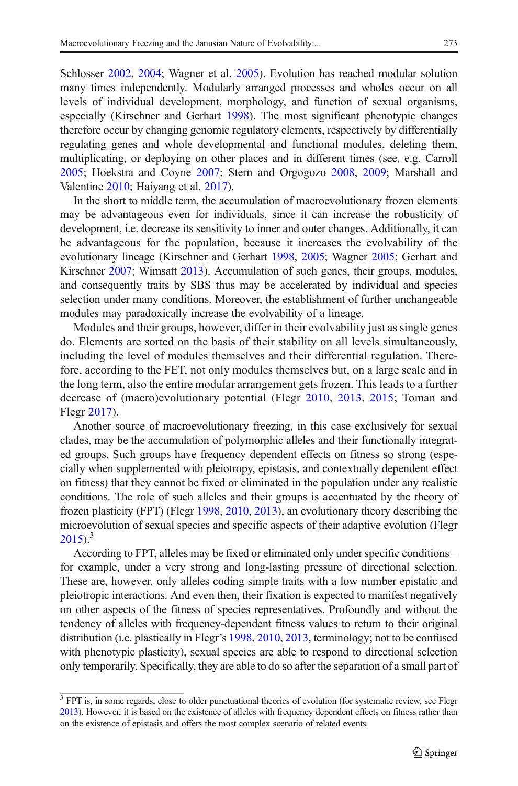Schlosser [2002](#page-21-0), [2004;](#page-21-0) Wagner et al. [2005\)](#page-22-0). Evolution has reached modular solution many times independently. Modularly arranged processes and wholes occur on all levels of individual development, morphology, and function of sexual organisms, especially (Kirschner and Gerhart [1998\)](#page-19-0). The most significant phenotypic changes therefore occur by changing genomic regulatory elements, respectively by differentially regulating genes and whole developmental and functional modules, deleting them, multiplicating, or deploying on other places and in different times (see, e.g. Carroll [2005;](#page-18-0) Hoekstra and Coyne [2007;](#page-19-0) Stern and Orgogozo [2008,](#page-21-0) [2009;](#page-21-0) Marshall and Valentine [2010;](#page-20-0) Haiyang et al. [2017](#page-19-0)).

In the short to middle term, the accumulation of macroevolutionary frozen elements may be advantageous even for individuals, since it can increase the robusticity of development, i.e. decrease its sensitivity to inner and outer changes. Additionally, it can be advantageous for the population, because it increases the evolvability of the evolutionary lineage (Kirschner and Gerhart [1998,](#page-19-0) [2005;](#page-19-0) Wagner [2005;](#page-21-0) Gerhart and Kirschner [2007;](#page-19-0) Wimsatt [2013](#page-22-0)). Accumulation of such genes, their groups, modules, and consequently traits by SBS thus may be accelerated by individual and species selection under many conditions. Moreover, the establishment of further unchangeable modules may paradoxically increase the evolvability of a lineage.

Modules and their groups, however, differ in their evolvability just as single genes do. Elements are sorted on the basis of their stability on all levels simultaneously, including the level of modules themselves and their differential regulation. Therefore, according to the FET, not only modules themselves but, on a large scale and in the long term, also the entire modular arrangement gets frozen. This leads to a further decrease of (macro)evolutionary potential (Flegr [2010,](#page-19-0) [2013](#page-19-0), [2015](#page-19-0); Toman and Flegr [2017](#page-21-0)).

Another source of macroevolutionary freezing, in this case exclusively for sexual clades, may be the accumulation of polymorphic alleles and their functionally integrated groups. Such groups have frequency dependent effects on fitness so strong (especially when supplemented with pleiotropy, epistasis, and contextually dependent effect on fitness) that they cannot be fixed or eliminated in the population under any realistic conditions. The role of such alleles and their groups is accentuated by the theory of frozen plasticity (FPT) (Flegr [1998,](#page-19-0) [2010](#page-19-0), [2013\)](#page-19-0), an evolutionary theory describing the microevolution of sexual species and specific aspects of their adaptive evolution (Flegr  $2015$ .<sup>3</sup>

According to FPT, alleles may be fixed or eliminated only under specific conditions – for example, under a very strong and long-lasting pressure of directional selection. These are, however, only alleles coding simple traits with a low number epistatic and pleiotropic interactions. And even then, their fixation is expected to manifest negatively on other aspects of the fitness of species representatives. Profoundly and without the tendency of alleles with frequency-dependent fitness values to return to their original distribution (i.e. plastically in Flegr's [1998,](#page-19-0) [2010,](#page-19-0) [2013,](#page-19-0) terminology; not to be confused with phenotypic plasticity), sexual species are able to respond to directional selection only temporarily. Specifically, they are able to do so after the separation of a small part of

 $\frac{3}{3}$  FPT is, in some regards, close to older punctuational theories of evolution (for systematic review, see Flegr [2013\)](#page-19-0). However, it is based on the existence of alleles with frequency dependent effects on fitness rather than on the existence of epistasis and offers the most complex scenario of related events.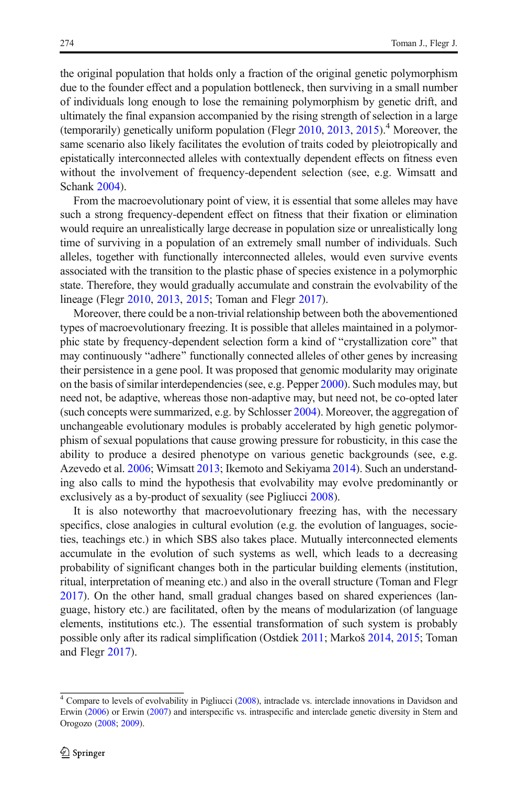the original population that holds only a fraction of the original genetic polymorphism due to the founder effect and a population bottleneck, then surviving in a small number of individuals long enough to lose the remaining polymorphism by genetic drift, and ultimately the final expansion accompanied by the rising strength of selection in a large (temporarily) genetically uniform population (Flegr [2010,](#page-19-0) [2013](#page-19-0), [2015\)](#page-19-0).<sup>4</sup> Moreover, the same scenario also likely facilitates the evolution of traits coded by pleiotropically and epistatically interconnected alleles with contextually dependent effects on fitness even without the involvement of frequency-dependent selection (see, e.g. Wimsatt and Schank [2004\)](#page-22-0).

From the macroevolutionary point of view, it is essential that some alleles may have such a strong frequency-dependent effect on fitness that their fixation or elimination would require an unrealistically large decrease in population size or unrealistically long time of surviving in a population of an extremely small number of individuals. Such alleles, together with functionally interconnected alleles, would even survive events associated with the transition to the plastic phase of species existence in a polymorphic state. Therefore, they would gradually accumulate and constrain the evolvability of the lineage (Flegr [2010,](#page-19-0) [2013,](#page-19-0) [2015;](#page-19-0) Toman and Flegr [2017](#page-21-0)).

Moreover, there could be a non-trivial relationship between both the abovementioned types of macroevolutionary freezing. It is possible that alleles maintained in a polymorphic state by frequency-dependent selection form a kind of "crystallization core" that may continuously "adhere" functionally connected alleles of other genes by increasing their persistence in a gene pool. It was proposed that genomic modularity may originate on the basis of similar interdependencies (see, e.g. Pepper [2000\)](#page-20-0). Such modules may, but need not, be adaptive, whereas those non-adaptive may, but need not, be co-opted later (such concepts were summarized, e.g. by Schlosser [2004\)](#page-21-0). Moreover, the aggregation of unchangeable evolutionary modules is probably accelerated by high genetic polymorphism of sexual populations that cause growing pressure for robusticity, in this case the ability to produce a desired phenotype on various genetic backgrounds (see, e.g. Azevedo et al. [2006;](#page-18-0) Wimsatt [2013;](#page-22-0) Ikemoto and Sekiyama [2014\)](#page-19-0). Such an understanding also calls to mind the hypothesis that evolvability may evolve predominantly or exclusively as a by-product of sexuality (see Pigliucci [2008](#page-20-0)).

It is also noteworthy that macroevolutionary freezing has, with the necessary specifics, close analogies in cultural evolution (e.g. the evolution of languages, societies, teachings etc.) in which SBS also takes place. Mutually interconnected elements accumulate in the evolution of such systems as well, which leads to a decreasing probability of significant changes both in the particular building elements (institution, ritual, interpretation of meaning etc.) and also in the overall structure (Toman and Flegr [2017\)](#page-21-0). On the other hand, small gradual changes based on shared experiences (language, history etc.) are facilitated, often by the means of modularization (of language elements, institutions etc.). The essential transformation of such system is probably possible only after its radical simplification (Ostdiek [2011](#page-20-0); Markoš [2014,](#page-20-0) [2015](#page-20-0); Toman and Flegr [2017\)](#page-21-0).

 $\frac{4}{4}$  Compare to levels of evolvability in Pigliucci ([2008](#page-20-0)), intraclade vs. interclade innovations in Davidson and Erwin ([2006](#page-18-0)) or Erwin [\(2007\)](#page-19-0) and interspecific vs. intraspecific and interclade genetic diversity in Stern and Orogozo ([2008](#page-21-0); [2009](#page-21-0)).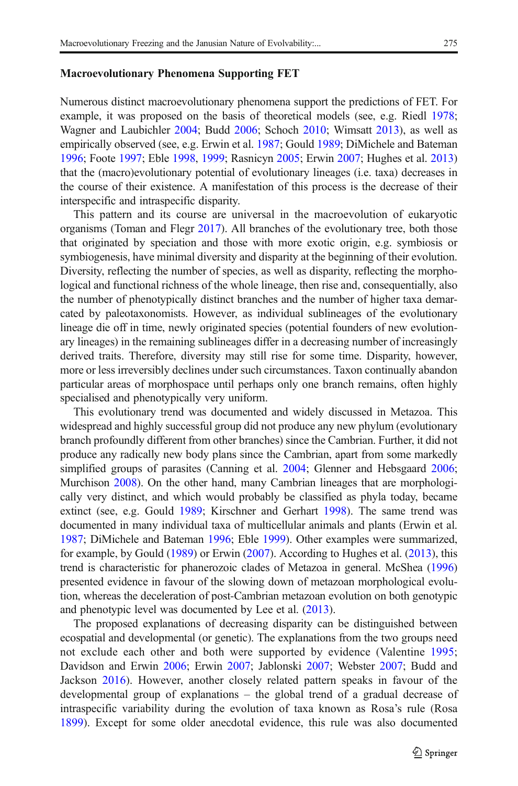#### Macroevolutionary Phenomena Supporting FET

Numerous distinct macroevolutionary phenomena support the predictions of FET. For example, it was proposed on the basis of theoretical models (see, e.g. Riedl [1978;](#page-21-0) Wagner and Laubichler [2004;](#page-22-0) Budd [2006;](#page-18-0) Schoch [2010;](#page-21-0) Wimsatt [2013\)](#page-22-0), as well as empirically observed (see, e.g. Erwin et al. [1987](#page-19-0); Gould [1989;](#page-19-0) DiMichele and Bateman [1996;](#page-18-0) Foote [1997](#page-19-0); Eble [1998,](#page-18-0) [1999;](#page-18-0) Rasnicyn [2005](#page-20-0); Erwin [2007;](#page-19-0) Hughes et al. [2013](#page-19-0)) that the (macro)evolutionary potential of evolutionary lineages (i.e. taxa) decreases in the course of their existence. A manifestation of this process is the decrease of their interspecific and intraspecific disparity.

This pattern and its course are universal in the macroevolution of eukaryotic organisms (Toman and Flegr [2017](#page-21-0)). All branches of the evolutionary tree, both those that originated by speciation and those with more exotic origin, e.g. symbiosis or symbiogenesis, have minimal diversity and disparity at the beginning of their evolution. Diversity, reflecting the number of species, as well as disparity, reflecting the morphological and functional richness of the whole lineage, then rise and, consequentially, also the number of phenotypically distinct branches and the number of higher taxa demarcated by paleotaxonomists. However, as individual sublineages of the evolutionary lineage die off in time, newly originated species (potential founders of new evolutionary lineages) in the remaining sublineages differ in a decreasing number of increasingly derived traits. Therefore, diversity may still rise for some time. Disparity, however, more or less irreversibly declines under such circumstances. Taxon continually abandon particular areas of morphospace until perhaps only one branch remains, often highly specialised and phenotypically very uniform.

This evolutionary trend was documented and widely discussed in Metazoa. This widespread and highly successful group did not produce any new phylum (evolutionary branch profoundly different from other branches) since the Cambrian. Further, it did not produce any radically new body plans since the Cambrian, apart from some markedly simplified groups of parasites (Canning et al. [2004;](#page-18-0) Glenner and Hebsgaard [2006;](#page-19-0) Murchison [2008](#page-20-0)). On the other hand, many Cambrian lineages that are morphologically very distinct, and which would probably be classified as phyla today, became extinct (see, e.g. Gould [1989;](#page-19-0) Kirschner and Gerhart [1998](#page-19-0)). The same trend was documented in many individual taxa of multicellular animals and plants (Erwin et al. [1987;](#page-19-0) DiMichele and Bateman [1996;](#page-18-0) Eble [1999](#page-18-0)). Other examples were summarized, for example, by Gould ([1989](#page-19-0)) or Erwin [\(2007\)](#page-19-0). According to Hughes et al. ([2013](#page-19-0)), this trend is characteristic for phanerozoic clades of Metazoa in general. McShea ([1996](#page-20-0)) presented evidence in favour of the slowing down of metazoan morphological evolution, whereas the deceleration of post-Cambrian metazoan evolution on both genotypic and phenotypic level was documented by Lee et al. ([2013](#page-19-0)).

The proposed explanations of decreasing disparity can be distinguished between ecospatial and developmental (or genetic). The explanations from the two groups need not exclude each other and both were supported by evidence (Valentine [1995;](#page-21-0) Davidson and Erwin [2006](#page-18-0); Erwin [2007;](#page-19-0) Jablonski [2007;](#page-19-0) Webster [2007;](#page-22-0) Budd and Jackson [2016\)](#page-18-0). However, another closely related pattern speaks in favour of the developmental group of explanations – the global trend of a gradual decrease of intraspecific variability during the evolution of taxa known as Rosa's rule (Rosa [1899\)](#page-21-0). Except for some older anecdotal evidence, this rule was also documented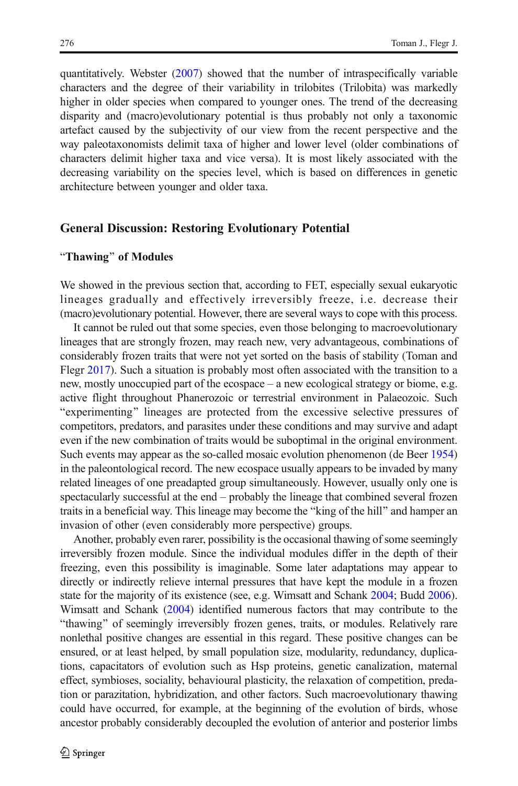quantitatively. Webster [\(2007](#page-22-0)) showed that the number of intraspecifically variable characters and the degree of their variability in trilobites (Trilobita) was markedly higher in older species when compared to younger ones. The trend of the decreasing disparity and (macro)evolutionary potential is thus probably not only a taxonomic artefact caused by the subjectivity of our view from the recent perspective and the way paleotaxonomists delimit taxa of higher and lower level (older combinations of characters delimit higher taxa and vice versa). It is most likely associated with the decreasing variability on the species level, which is based on differences in genetic architecture between younger and older taxa.

#### General Discussion: Restoring Evolutionary Potential

#### "Thawing" of Modules

We showed in the previous section that, according to FET, especially sexual eukaryotic lineages gradually and effectively irreversibly freeze, i.e. decrease their (macro)evolutionary potential. However, there are several ways to cope with this process.

It cannot be ruled out that some species, even those belonging to macroevolutionary lineages that are strongly frozen, may reach new, very advantageous, combinations of considerably frozen traits that were not yet sorted on the basis of stability (Toman and Flegr [2017\)](#page-21-0). Such a situation is probably most often associated with the transition to a new, mostly unoccupied part of the ecospace – a new ecological strategy or biome, e.g. active flight throughout Phanerozoic or terrestrial environment in Palaeozoic. Such Bexperimenting^ lineages are protected from the excessive selective pressures of competitors, predators, and parasites under these conditions and may survive and adapt even if the new combination of traits would be suboptimal in the original environment. Such events may appear as the so-called mosaic evolution phenomenon (de Beer [1954](#page-18-0)) in the paleontological record. The new ecospace usually appears to be invaded by many related lineages of one preadapted group simultaneously. However, usually only one is spectacularly successful at the end – probably the lineage that combined several frozen traits in a beneficial way. This lineage may become the "king of the hill" and hamper an invasion of other (even considerably more perspective) groups.

Another, probably even rarer, possibility is the occasional thawing of some seemingly irreversibly frozen module. Since the individual modules differ in the depth of their freezing, even this possibility is imaginable. Some later adaptations may appear to directly or indirectly relieve internal pressures that have kept the module in a frozen state for the majority of its existence (see, e.g. Wimsatt and Schank [2004](#page-22-0); Budd [2006\)](#page-18-0). Wimsatt and Schank ([2004](#page-22-0)) identified numerous factors that may contribute to the "thawing" of seemingly irreversibly frozen genes, traits, or modules. Relatively rare nonlethal positive changes are essential in this regard. These positive changes can be ensured, or at least helped, by small population size, modularity, redundancy, duplications, capacitators of evolution such as Hsp proteins, genetic canalization, maternal effect, symbioses, sociality, behavioural plasticity, the relaxation of competition, predation or parazitation, hybridization, and other factors. Such macroevolutionary thawing could have occurred, for example, at the beginning of the evolution of birds, whose ancestor probably considerably decoupled the evolution of anterior and posterior limbs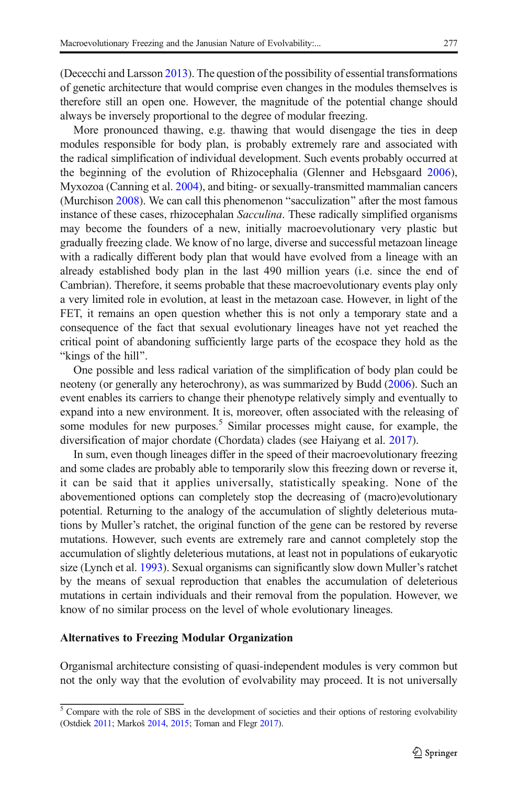(Dececchi and Larsson [2013](#page-18-0)). The question of the possibility of essential transformations of genetic architecture that would comprise even changes in the modules themselves is therefore still an open one. However, the magnitude of the potential change should always be inversely proportional to the degree of modular freezing.

More pronounced thawing, e.g. thawing that would disengage the ties in deep modules responsible for body plan, is probably extremely rare and associated with the radical simplification of individual development. Such events probably occurred at the beginning of the evolution of Rhizocephalia (Glenner and Hebsgaard [2006\)](#page-19-0), Myxozoa (Canning et al. [2004\)](#page-18-0), and biting- or sexually-transmitted mammalian cancers (Murchison  $2008$ ). We can call this phenomenon "sacculization" after the most famous instance of these cases, rhizocephalan Sacculina. These radically simplified organisms may become the founders of a new, initially macroevolutionary very plastic but gradually freezing clade. We know of no large, diverse and successful metazoan lineage with a radically different body plan that would have evolved from a lineage with an already established body plan in the last 490 million years (i.e. since the end of Cambrian). Therefore, it seems probable that these macroevolutionary events play only a very limited role in evolution, at least in the metazoan case. However, in light of the FET, it remains an open question whether this is not only a temporary state and a consequence of the fact that sexual evolutionary lineages have not yet reached the critical point of abandoning sufficiently large parts of the ecospace they hold as the "kings of the hill".

One possible and less radical variation of the simplification of body plan could be neoteny (or generally any heterochrony), as was summarized by Budd [\(2006\)](#page-18-0). Such an event enables its carriers to change their phenotype relatively simply and eventually to expand into a new environment. It is, moreover, often associated with the releasing of some modules for new purposes.<sup>5</sup> Similar processes might cause, for example, the diversification of major chordate (Chordata) clades (see Haiyang et al. [2017\)](#page-19-0).

In sum, even though lineages differ in the speed of their macroevolutionary freezing and some clades are probably able to temporarily slow this freezing down or reverse it, it can be said that it applies universally, statistically speaking. None of the abovementioned options can completely stop the decreasing of (macro)evolutionary potential. Returning to the analogy of the accumulation of slightly deleterious mutations by Muller's ratchet, the original function of the gene can be restored by reverse mutations. However, such events are extremely rare and cannot completely stop the accumulation of slightly deleterious mutations, at least not in populations of eukaryotic size (Lynch et al. [1993](#page-20-0)). Sexual organisms can significantly slow down Muller's ratchet by the means of sexual reproduction that enables the accumulation of deleterious mutations in certain individuals and their removal from the population. However, we know of no similar process on the level of whole evolutionary lineages.

#### Alternatives to Freezing Modular Organization

Organismal architecture consisting of quasi-independent modules is very common but not the only way that the evolution of evolvability may proceed. It is not universally

<sup>&</sup>lt;sup>5</sup> Compare with the role of SBS in the development of societies and their options of restoring evolvability (Ostdiek [2011;](#page-20-0) Markoš [2014,](#page-20-0) [2015;](#page-20-0) Toman and Flegr [2017](#page-21-0)).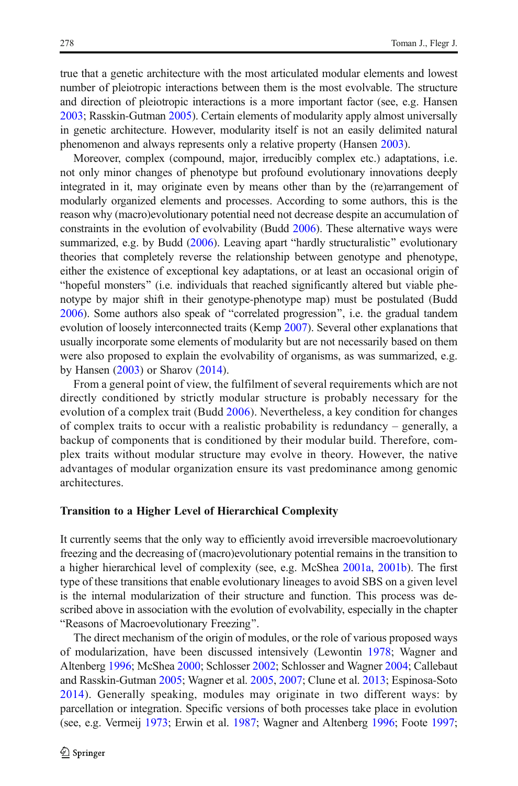true that a genetic architecture with the most articulated modular elements and lowest number of pleiotropic interactions between them is the most evolvable. The structure and direction of pleiotropic interactions is a more important factor (see, e.g. Hansen [2003;](#page-19-0) Rasskin-Gutman [2005\)](#page-21-0). Certain elements of modularity apply almost universally in genetic architecture. However, modularity itself is not an easily delimited natural phenomenon and always represents only a relative property (Hansen [2003\)](#page-19-0).

Moreover, complex (compound, major, irreducibly complex etc.) adaptations, i.e. not only minor changes of phenotype but profound evolutionary innovations deeply integrated in it, may originate even by means other than by the (re)arrangement of modularly organized elements and processes. According to some authors, this is the reason why (macro)evolutionary potential need not decrease despite an accumulation of constraints in the evolution of evolvability (Budd [2006](#page-18-0)). These alternative ways were summarized, e.g. by Budd [\(2006](#page-18-0)). Leaving apart "hardly structuralistic" evolutionary theories that completely reverse the relationship between genotype and phenotype, either the existence of exceptional key adaptations, or at least an occasional origin of "hopeful monsters" (i.e. individuals that reached significantly altered but viable phenotype by major shift in their genotype-phenotype map) must be postulated (Budd  $2006$ ). Some authors also speak of "correlated progression", i.e. the gradual tandem evolution of loosely interconnected traits (Kemp [2007\)](#page-19-0). Several other explanations that usually incorporate some elements of modularity but are not necessarily based on them were also proposed to explain the evolvability of organisms, as was summarized, e.g. by Hansen [\(2003\)](#page-19-0) or Sharov [\(2014\)](#page-21-0).

From a general point of view, the fulfilment of several requirements which are not directly conditioned by strictly modular structure is probably necessary for the evolution of a complex trait (Budd [2006](#page-18-0)). Nevertheless, a key condition for changes of complex traits to occur with a realistic probability is redundancy – generally, a backup of components that is conditioned by their modular build. Therefore, complex traits without modular structure may evolve in theory. However, the native advantages of modular organization ensure its vast predominance among genomic architectures.

#### Transition to a Higher Level of Hierarchical Complexity

It currently seems that the only way to efficiently avoid irreversible macroevolutionary freezing and the decreasing of (macro)evolutionary potential remains in the transition to a higher hierarchical level of complexity (see, e.g. McShea [2001a,](#page-20-0) [2001b](#page-20-0)). The first type of these transitions that enable evolutionary lineages to avoid SBS on a given level is the internal modularization of their structure and function. This process was described above in association with the evolution of evolvability, especially in the chapter "Reasons of Macroevolutionary Freezing".

The direct mechanism of the origin of modules, or the role of various proposed ways of modularization, have been discussed intensively (Lewontin [1978;](#page-20-0) Wagner and Altenberg [1996](#page-22-0); McShea [2000](#page-20-0); Schlosser [2002;](#page-21-0) Schlosser and Wagner [2004](#page-21-0); Callebaut and Rasskin-Gutman [2005](#page-18-0); Wagner et al. [2005](#page-22-0), [2007](#page-22-0); Clune et al. [2013](#page-18-0); Espinosa-Soto [2014\)](#page-19-0). Generally speaking, modules may originate in two different ways: by parcellation or integration. Specific versions of both processes take place in evolution (see, e.g. Vermeij [1973;](#page-21-0) Erwin et al. [1987](#page-19-0); Wagner and Altenberg [1996;](#page-22-0) Foote [1997;](#page-19-0)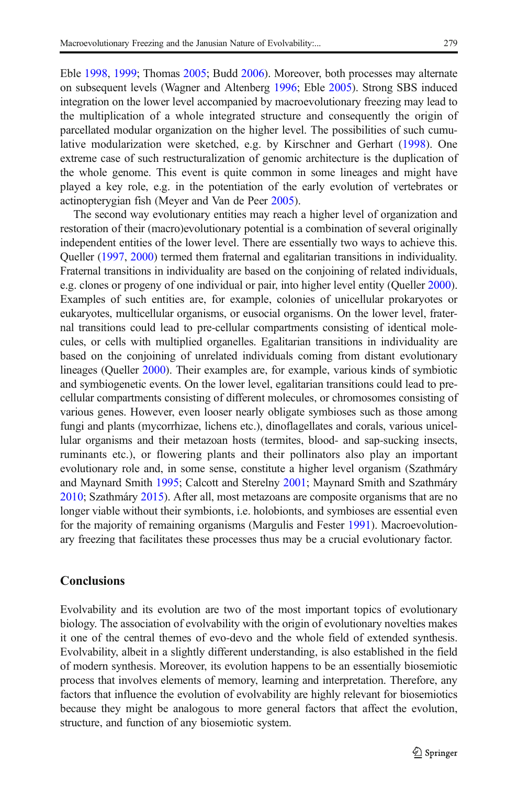Eble [1998](#page-18-0), [1999;](#page-18-0) Thomas [2005](#page-21-0); Budd [2006](#page-18-0)). Moreover, both processes may alternate on subsequent levels (Wagner and Altenberg [1996;](#page-22-0) Eble [2005\)](#page-19-0). Strong SBS induced integration on the lower level accompanied by macroevolutionary freezing may lead to the multiplication of a whole integrated structure and consequently the origin of parcellated modular organization on the higher level. The possibilities of such cumulative modularization were sketched, e.g. by Kirschner and Gerhart [\(1998](#page-19-0)). One extreme case of such restructuralization of genomic architecture is the duplication of the whole genome. This event is quite common in some lineages and might have played a key role, e.g. in the potentiation of the early evolution of vertebrates or actinopterygian fish (Meyer and Van de Peer [2005\)](#page-20-0).

The second way evolutionary entities may reach a higher level of organization and restoration of their (macro)evolutionary potential is a combination of several originally independent entities of the lower level. There are essentially two ways to achieve this. Queller ([1997,](#page-20-0) [2000](#page-20-0)) termed them fraternal and egalitarian transitions in individuality. Fraternal transitions in individuality are based on the conjoining of related individuals, e.g. clones or progeny of one individual or pair, into higher level entity (Queller [2000\)](#page-20-0). Examples of such entities are, for example, colonies of unicellular prokaryotes or eukaryotes, multicellular organisms, or eusocial organisms. On the lower level, fraternal transitions could lead to pre-cellular compartments consisting of identical molecules, or cells with multiplied organelles. Egalitarian transitions in individuality are based on the conjoining of unrelated individuals coming from distant evolutionary lineages (Queller [2000\)](#page-20-0). Their examples are, for example, various kinds of symbiotic and symbiogenetic events. On the lower level, egalitarian transitions could lead to precellular compartments consisting of different molecules, or chromosomes consisting of various genes. However, even looser nearly obligate symbioses such as those among fungi and plants (mycorrhizae, lichens etc.), dinoflagellates and corals, various unicellular organisms and their metazoan hosts (termites, blood- and sap-sucking insects, ruminants etc.), or flowering plants and their pollinators also play an important evolutionary role and, in some sense, constitute a higher level organism (Szathmáry and Maynard Smith [1995;](#page-21-0) Calcott and Sterelny [2001;](#page-18-0) Maynard Smith and Szathmáry [2010;](#page-20-0) Szathmáry [2015](#page-21-0)). After all, most metazoans are composite organisms that are no longer viable without their symbionts, i.e. holobionts, and symbioses are essential even for the majority of remaining organisms (Margulis and Fester [1991\)](#page-20-0). Macroevolutionary freezing that facilitates these processes thus may be a crucial evolutionary factor.

# **Conclusions**

Evolvability and its evolution are two of the most important topics of evolutionary biology. The association of evolvability with the origin of evolutionary novelties makes it one of the central themes of evo-devo and the whole field of extended synthesis. Evolvability, albeit in a slightly different understanding, is also established in the field of modern synthesis. Moreover, its evolution happens to be an essentially biosemiotic process that involves elements of memory, learning and interpretation. Therefore, any factors that influence the evolution of evolvability are highly relevant for biosemiotics because they might be analogous to more general factors that affect the evolution, structure, and function of any biosemiotic system.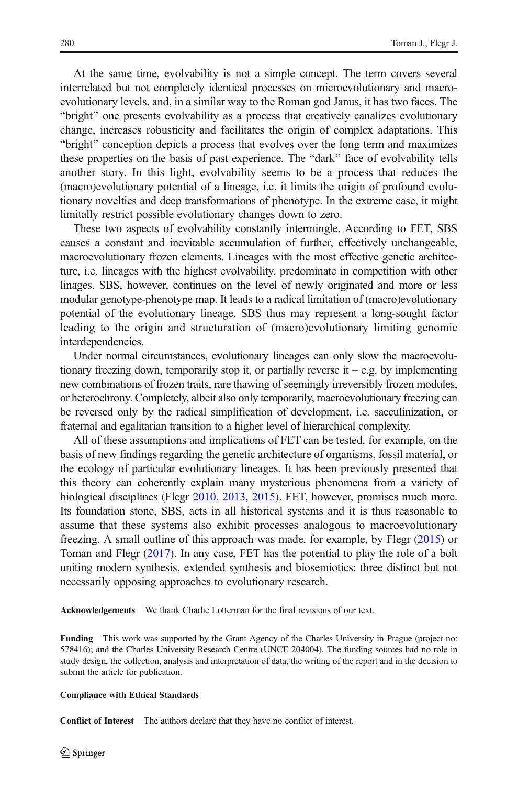At the same time, evolvability is not a simple concept. The term covers several interrelated but not completely identical processes on microevolutionary and macroevolutionary levels, and, in a similar way to the Roman god Janus, it has two faces. The "bright" one presents evolvability as a process that creatively canalizes evolutionary change, increases robusticity and facilitates the origin of complex adaptations. This "bright" conception depicts a process that evolves over the long term and maximizes these properties on the basis of past experience. The "dark" face of evolvability tells another story. In this light, evolvability seems to be a process that reduces the (macro)evolutionary potential of a lineage, i.e. it limits the origin of profound evolutionary novelties and deep transformations of phenotype. In the extreme case, it might limitally restrict possible evolutionary changes down to zero.

These two aspects of evolvability constantly intermingle. According to FET, SBS causes a constant and inevitable accumulation of further, effectively unchangeable, macroevolutionary frozen elements. Lineages with the most effective genetic architecture, i.e. lineages with the highest evolvability, predominate in competition with other linages. SBS, however, continues on the level of newly originated and more or less modular genotype-phenotype map. It leads to a radical limitation of (macro)evolutionary potential of the evolutionary lineage. SBS thus may represent a long-sought factor leading to the origin and structuration of (macro)evolutionary limiting genomic interdependencies.

Under normal circumstances, evolutionary lineages can only slow the macroevolutionary freezing down, temporarily stop it, or partially reverse it – e.g. by implementing new combinations of frozen traits, rare thawing of seemingly irreversibly frozen modules, or heterochrony. Completely, albeit also only temporarily, macroevolutionary freezing can be reversed only by the radical simplification of development, i.e. sacculinization, or fraternal and egalitarian transition to a higher level of hierarchical complexity.

All of these assumptions and implications of FET can be tested, for example, on the basis of new findings regarding the genetic architecture of organisms, fossil material, or the ecology of particular evolutionary lineages. It has been previously presented that this theory can coherently explain many mysterious phenomena from a variety of biological disciplines (Flegr [2010](#page-19-0), [2013](#page-19-0), [2015\)](#page-19-0). FET, however, promises much more. Its foundation stone, SBS, acts in all historical systems and it is thus reasonable to assume that these systems also exhibit processes analogous to macroevolutionary freezing. A small outline of this approach was made, for example, by Flegr ([2015](#page-19-0)) or Toman and Flegr ([2017](#page-21-0)). In any case, FET has the potential to play the role of a bolt uniting modern synthesis, extended synthesis and biosemiotics: three distinct but not necessarily opposing approaches to evolutionary research.

Acknowledgements We thank Charlie Lotterman for the final revisions of our text.

Funding This work was supported by the Grant Agency of the Charles University in Prague (project no: 578416); and the Charles University Research Centre (UNCE 204004). The funding sources had no role in study design, the collection, analysis and interpretation of data, the writing of the report and in the decision to submit the article for publication.

#### Compliance with Ethical Standards

Conflict of Interest The authors declare that they have no conflict of interest.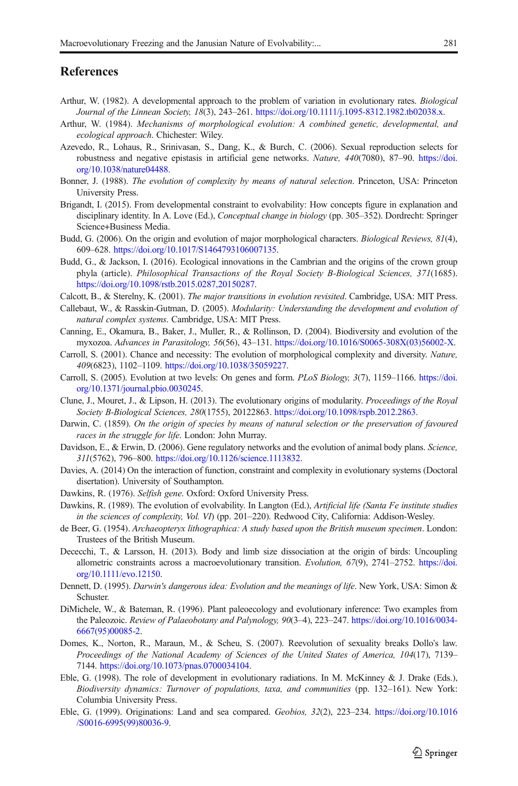## <span id="page-18-0"></span>**References**

- Arthur, W. (1982). A developmental approach to the problem of variation in evolutionary rates. Biological Journal of the Linnean Society, 18(3), 243–261. [https://doi.org/10.1111/j.1095-8312.1982.tb02038.x.](https://doi.org/10.1111/j.1095-8312.1982.tb02038.x)
- Arthur, W. (1984). Mechanisms of morphological evolution: A combined genetic, developmental, and ecological approach. Chichester: Wiley.
- Azevedo, R., Lohaus, R., Srinivasan, S., Dang, K., & Burch, C. (2006). Sexual reproduction selects for robustness and negative epistasis in artificial gene networks. Nature, 440(7080), 87–90. [https://doi.](https://doi.org/10.1038/nature04488) [org/10.1038/nature04488.](https://doi.org/10.1038/nature04488)
- Bonner, J. (1988). The evolution of complexity by means of natural selection. Princeton, USA: Princeton University Press.
- Brigandt, I. (2015). From developmental constraint to evolvability: How concepts figure in explanation and disciplinary identity. In A. Love (Ed.), Conceptual change in biology (pp. 305–352). Dordrecht: Springer Science+Business Media.
- Budd, G. (2006). On the origin and evolution of major morphological characters. Biological Reviews, 81(4), 609–628. [https://doi.org/10.1017/S1464793106007135.](https://doi.org/10.1017/S1464793106007135)
- Budd, G., & Jackson, I. (2016). Ecological innovations in the Cambrian and the origins of the crown group phyla (article). Philosophical Transactions of the Royal Society B-Biological Sciences, 371(1685). <https://doi.org/10.1098/rstb.2015.0287,20150287>.
- Calcott, B., & Sterelny, K. (2001). The major transitions in evolution revisited. Cambridge, USA: MIT Press.
- Callebaut, W., & Rasskin-Gutman, D. (2005). Modularity: Understanding the development and evolution of natural complex systems. Cambridge, USA: MIT Press.
- Canning, E., Okamura, B., Baker, J., Muller, R., & Rollinson, D. (2004). Biodiversity and evolution of the myxozoa. Advances in Parasitology, 56(56), 43–131. [https://doi.org/10.1016/S0065-308X\(03\)56002-X.](https://doi.org/10.1016/S0065-308X(03)56002-X)
- Carroll, S. (2001). Chance and necessity: The evolution of morphological complexity and diversity. Nature, 409(6823), 1102–1109. <https://doi.org/10.1038/35059227>.
- Carroll, S. (2005). Evolution at two levels: On genes and form. PLoS Biology, 3(7), 1159–1166. [https://doi.](https://doi.org/10.1371/journal.pbio.0030245) [org/10.1371/journal.pbio.0030245](https://doi.org/10.1371/journal.pbio.0030245).
- Clune, J., Mouret, J., & Lipson, H. (2013). The evolutionary origins of modularity. Proceedings of the Royal Society B-Biological Sciences, 280(1755), 20122863. [https://doi.org/10.1098/rspb.2012.2863.](https://doi.org/10.1098/rspb.2012.2863)
- Darwin, C. (1859). On the origin of species by means of natural selection or the preservation of favoured races in the struggle for life. London: John Murray.
- Davidson, E., & Erwin, D. (2006). Gene regulatory networks and the evolution of animal body plans. Science, 311(5762), 796–800. [https://doi.org/10.1126/science.1113832.](https://doi.org/10.1126/science.1113832)
- Davies, A. (2014) On the interaction of function, constraint and complexity in evolutionary systems (Doctoral disertation). University of Southampton.
- Dawkins, R. (1976). Selfish gene. Oxford: Oxford University Press.
- Dawkins, R. (1989). The evolution of evolvability. In Langton (Ed.), Artificial life (Santa Fe institute studies in the sciences of complexity, Vol. VI) (pp. 201–220). Redwood City, California: Addison-Wesley.
- de Beer, G. (1954). Archaeopteryx lithographica: A study based upon the British museum specimen. London: Trustees of the British Museum.
- Dececchi, T., & Larsson, H. (2013). Body and limb size dissociation at the origin of birds: Uncoupling allometric constraints across a macroevolutionary transition. Evolution, 67(9), 2741–2752. [https://doi.](https://doi.org/10.1111/evo.12150) [org/10.1111/evo.12150](https://doi.org/10.1111/evo.12150).
- Dennett, D. (1995). Darwin's dangerous idea: Evolution and the meanings of life. New York, USA: Simon & Schuster.
- DiMichele, W., & Bateman, R. (1996). Plant paleoecology and evolutionary inference: Two examples from the Paleozoic. Review of Palaeobotany and Palynology, 90(3–4), 223–247. [https://doi.org/10.1016/0034-](https://doi.org/10.1016/0034-6667(95)00085-2) [6667\(95\)00085-2.](https://doi.org/10.1016/0034-6667(95)00085-2)
- Domes, K., Norton, R., Maraun, M., & Scheu, S. (2007). Reevolution of sexuality breaks Dollo's law. Proceedings of the National Academy of Sciences of the United States of America, 104(17), 7139– 7144. [https://doi.org/10.1073/pnas.0700034104.](https://doi.org/10.1073/pnas.0700034104)
- Eble, G. (1998). The role of development in evolutionary radiations. In M. McKinney & J. Drake (Eds.), Biodiversity dynamics: Turnover of populations, taxa, and communities (pp. 132–161). New York: Columbia University Press.
- Eble, G. (1999). Originations: Land and sea compared. Geobios, 32(2), 223–234. [https://doi.org/10.1016](https://doi.org/10.1016/S0016-6995(99)80036-9) [/S0016-6995\(99\)80036-9](https://doi.org/10.1016/S0016-6995(99)80036-9).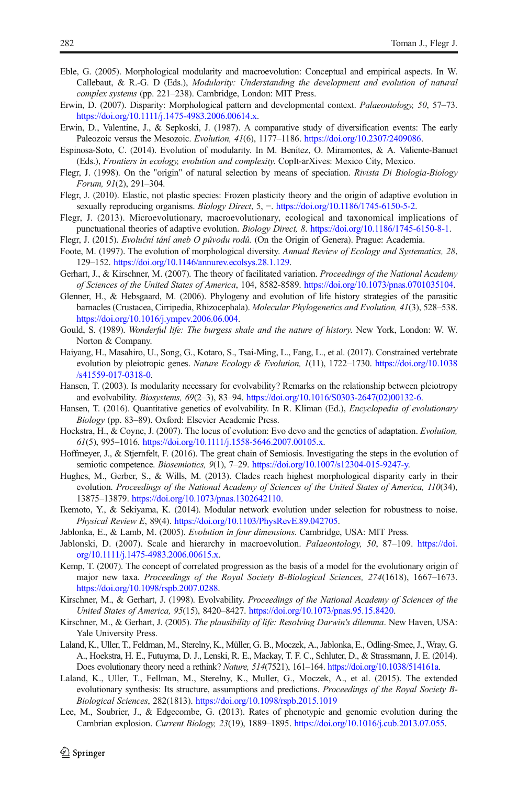- <span id="page-19-0"></span>Eble, G. (2005). Morphological modularity and macroevolution: Conceptual and empirical aspects. In W. Callebaut, & R.-G. D (Eds.), Modularity: Understanding the development and evolution of natural complex systems (pp. 221–238). Cambridge, London: MIT Press.
- Erwin, D. (2007). Disparity: Morphological pattern and developmental context. *Palaeontology*, 50, 57–73. <https://doi.org/10.1111/j.1475-4983.2006.00614.x>.
- Erwin, D., Valentine, J., & Sepkoski, J. (1987). A comparative study of diversification events: The early Paleozoic versus the Mesozoic. Evolution, 41(6), 1177–1186. <https://doi.org/10.2307/2409086>.
- Espinosa-Soto, C. (2014). Evolution of modularity. In M. Benítez, O. Miramontes, & A. Valiente-Banuet (Eds.), Frontiers in ecology, evolution and complexity. CopIt-arXives: Mexico City, Mexico.
- Flegr, J. (1998). On the "origin" of natural selection by means of speciation. Rivista Di Biologia-Biology Forum, 91(2), 291–304.
- Flegr, J. (2010). Elastic, not plastic species: Frozen plasticity theory and the origin of adaptive evolution in sexually reproducing organisms. Biology Direct, 5, −. <https://doi.org/10.1186/1745-6150-5-2>.
- Flegr, J. (2013). Microevolutionary, macroevolutionary, ecological and taxonomical implications of punctuational theories of adaptive evolution. Biology Direct, 8. <https://doi.org/10.1186/1745-6150-8-1>.
- Flegr, J. (2015). Evoluční tání aneb O původu rodů. (On the Origin of Genera). Prague: Academia.
- Foote, M. (1997). The evolution of morphological diversity. Annual Review of Ecology and Systematics, 28, 129–152. [https://doi.org/10.1146/annurev.ecolsys.28.1.129.](https://doi.org/10.1146/annurev.ecolsys.28.1.129)
- Gerhart, J., & Kirschner, M. (2007). The theory of facilitated variation. Proceedings of the National Academy of Sciences of the United States of America, 104, 8582-8589. [https://doi.org/10.1073/pnas.0701035104.](https://doi.org/10.1073/pnas.0701035104)
- Glenner, H., & Hebsgaard, M. (2006). Phylogeny and evolution of life history strategies of the parasitic barnacles (Crustacea, Cirripedia, Rhizocephala). Molecular Phylogenetics and Evolution, 41(3), 528–538. <https://doi.org/10.1016/j.ympev.2006.06.004>.
- Gould, S. (1989). Wonderful life: The burgess shale and the nature of history. New York, London: W. W. Norton & Company.
- Haiyang, H., Masahiro, U., Song, G., Kotaro, S., Tsai-Ming, L., Fang, L., et al. (2017). Constrained vertebrate evolution by pleiotropic genes. Nature Ecology & Evolution, 1(11), 1722-1730. [https://doi.org/10.1038](https://doi.org/10.1038/s41559-017-0318-0) [/s41559-017-0318-0.](https://doi.org/10.1038/s41559-017-0318-0)
- Hansen, T. (2003). Is modularity necessary for evolvability? Remarks on the relationship between pleiotropy and evolvability. Biosystems, 69(2–3), 83–94. [https://doi.org/10.1016/S0303-2647\(02\)00132-6](https://doi.org/10.1016/S0303-2647(02)00132-6).
- Hansen, T. (2016). Quantitative genetics of evolvability. In R. Kliman (Ed.), Encyclopedia of evolutionary Biology (pp. 83–89). Oxford: Elsevier Academic Press.
- Hoekstra, H., & Coyne, J. (2007). The locus of evolution: Evo devo and the genetics of adaptation. Evolution, 61(5), 995–1016. <https://doi.org/10.1111/j.1558-5646.2007.00105.x>.
- Hoffmeyer, J., & Stjernfelt, F. (2016). The great chain of Semiosis. Investigating the steps in the evolution of semiotic competence. Biosemiotics, 9(1), 7-29. [https://doi.org/10.1007/s12304-015-9247-y.](https://doi.org/10.1007/s12304-015-9247-y)
- Hughes, M., Gerber, S., & Wills, M. (2013). Clades reach highest morphological disparity early in their evolution. Proceedings of the National Academy of Sciences of the United States of America, 110(34), 13875–13879. <https://doi.org/10.1073/pnas.1302642110>.
- Ikemoto, Y., & Sekiyama, K. (2014). Modular network evolution under selection for robustness to noise. Physical Review E, 89(4). [https://doi.org/10.1103/PhysRevE.89.042705.](https://doi.org/10.1103/PhysRevE.89.042705)
- Jablonka, E., & Lamb, M. (2005). Evolution in four dimensions. Cambridge, USA: MIT Press.
- Jablonski, D. (2007). Scale and hierarchy in macroevolution. Palaeontology, 50, 87-109. [https://doi.](https://doi.org/10.1111/j.1475-4983.2006.00615.x) [org/10.1111/j.1475-4983.2006.00615.x](https://doi.org/10.1111/j.1475-4983.2006.00615.x).
- Kemp, T. (2007). The concept of correlated progression as the basis of a model for the evolutionary origin of major new taxa. Proceedings of the Royal Society B-Biological Sciences, 274(1618), 1667–1673. [https://doi.org/10.1098/rspb.2007.0288.](https://doi.org/10.1098/rspb.2007.0288)
- Kirschner, M., & Gerhart, J. (1998). Evolvability. Proceedings of the National Academy of Sciences of the United States of America, 95(15), 8420–8427. <https://doi.org/10.1073/pnas.95.15.8420>.
- Kirschner, M., & Gerhart, J. (2005). The plausibility of life: Resolving Darwin's dilemma. New Haven, USA: Yale University Press.
- Laland, K., Uller, T., Feldman, M., Sterelny, K., Müller, G. B., Moczek, A., Jablonka, E., Odling-Smee, J., Wray, G. A., Hoekstra, H. E., Futuyma, D. J., Lenski, R. E., Mackay, T. F. C., Schluter, D., & Strassmann, J. E. (2014). Does evolutionary theory need a rethink? Nature, 514(7521), 161–164. <https://doi.org/10.1038/514161a>.
- Laland, K., Uller, T., Fellman, M., Sterelny, K., Muller, G., Moczek, A., et al. (2015). The extended evolutionary synthesis: Its structure, assumptions and predictions. Proceedings of the Royal Society B-Biological Sciences, 282(1813). <https://doi.org/10.1098/rspb.2015.1019>
- Lee, M., Soubrier, J., & Edgecombe, G. (2013). Rates of phenotypic and genomic evolution during the Cambrian explosion. Current Biology, 23(19), 1889–1895. <https://doi.org/10.1016/j.cub.2013.07.055>.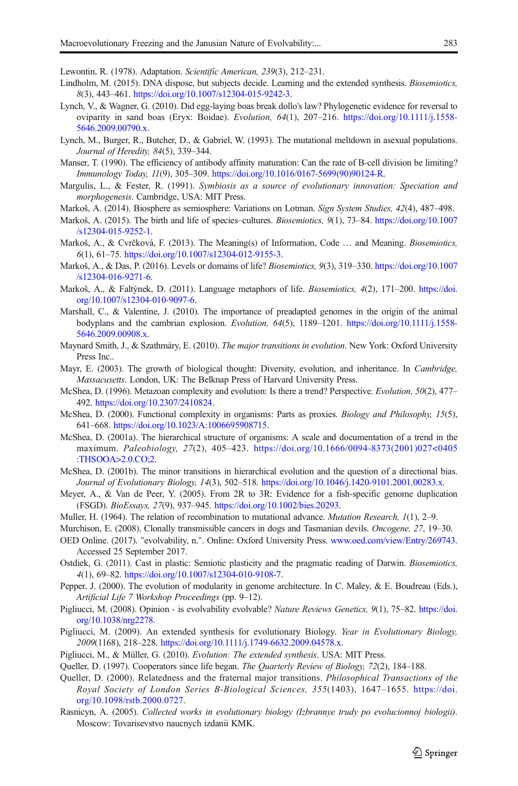<span id="page-20-0"></span>Lewontin, R. (1978). Adaptation. Scientific American, 239(3), 212–231.

- Lindholm, M. (2015). DNA dispose, but subjects decide. Learning and the extended synthesis. *Biosemiotics*, 8(3), 443–461. <https://doi.org/10.1007/s12304-015-9242-3>.
- Lynch, V., & Wagner, G. (2010). Did egg-laying boas break dollo's law? Phylogenetic evidence for reversal to oviparity in sand boas (Eryx: Boidae). Evolution, 64(1), 207–216. [https://doi.org/10.1111/j.1558-](https://doi.org/10.1111/j.1558-5646.2009.00790.x) [5646.2009.00790.x.](https://doi.org/10.1111/j.1558-5646.2009.00790.x)
- Lynch, M., Burger, R., Butcher, D., & Gabriel, W. (1993). The mutational meltdown in asexual populations. Journal of Heredity, 84(5), 339–344.
- Manser, T. (1990). The efficiency of antibody affinity maturation: Can the rate of B-cell division be limiting? Immunology Today, 11(9), 305–309. [https://doi.org/10.1016/0167-5699\(90\)90124-R](https://doi.org/10.1016/0167-5699(90)90124-R).
- Margulis, L., & Fester, R. (1991). Symbiosis as a source of evolutionary innovation: Speciation and morphogenesis. Cambridge, USA: MIT Press.
- Markoš, A. (2014). Biosphere as semiosphere: Variations on Lotman. Sign System Studies, 42(4), 487–498.
- Markoš, A. (2015). The birth and life of species–cultures. Biosemiotics, 9(1), 73–84. [https://doi.org/10.1007](https://doi.org/10.1007/s12304-015-9252-1) [/s12304-015-9252-1.](https://doi.org/10.1007/s12304-015-9252-1)
- Markoš, A., & Cvrčková, F. (2013). The Meaning(s) of Information, Code ... and Meaning. *Biosemiotics*, 6(1), 61–75. <https://doi.org/10.1007/s12304-012-9155-3>.
- Markoš, A., & Das, P. (2016). Levels or domains of life? Biosemiotics, 9(3), 319–330. [https://doi.org/10.1007](https://doi.org/10.1007/s12304-016-9271-6) [/s12304-016-9271-6.](https://doi.org/10.1007/s12304-016-9271-6)
- Markoš, A., & Faltýnek, D. (2011). Language metaphors of life. *Biosemiotics*, 4(2), 171–200. [https://doi.](https://doi.org/10.1007/s12304-010-9097-6) [org/10.1007/s12304-010-9097-6](https://doi.org/10.1007/s12304-010-9097-6).
- Marshall, C., & Valentine, J. (2010). The importance of preadapted genomes in the origin of the animal bodyplans and the cambrian explosion. Evolution, 64(5), 1189-1201. [https://doi.org/10.1111/j.1558-](https://doi.org/10.1111/j.1558-5646.2009.00908.x) [5646.2009.00908.x.](https://doi.org/10.1111/j.1558-5646.2009.00908.x)
- Maynard Smith, J., & Szathmáry, E. (2010). The major transitions in evolution. New York: Oxford University Press Inc..
- Mayr, E. (2003). The growth of biological thought: Diversity, evolution, and inheritance. In *Cambridge*, Massacusetts. London, UK: The Belknap Press of Harvard University Press.
- McShea, D. (1996). Metazoan complexity and evolution: Is there a trend? Perspective. Evolution, 50(2), 477– 492. <https://doi.org/10.2307/2410824>.
- McShea, D. (2000). Functional complexity in organisms: Parts as proxies. Biology and Philosophy, 15(5), 641–668. <https://doi.org/10.1023/A:1006695908715>.
- McShea, D. (2001a). The hierarchical structure of organisms: A scale and documentation of a trend in the maximum. Paleobiology, 27(2), 405–423. [https://doi.org/10.1666/0094-8373\(2001\)027<0405](https://doi.org/10.1666/0094-8373(2001)027<0405:THSOOA>2.0.CO;2) [:THSOOA>2.0.CO;2](https://doi.org/10.1666/0094-8373(2001)027<0405:THSOOA>2.0.CO;2).
- McShea, D. (2001b). The minor transitions in hierarchical evolution and the question of a directional bias. Journal of Evolutionary Biology, 14(3), 502–518. [https://doi.org/10.1046/j.1420-9101.2001.00283.x.](https://doi.org/10.1046/j.1420-9101.2001.00283.x)
- Meyer, A., & Van de Peer, Y. (2005). From 2R to 3R: Evidence for a fish-specific genome duplication (FSGD). BioEssays, 27(9), 937–945. [https://doi.org/10.1002/bies.20293.](https://doi.org/10.1002/bies.20293)
- Muller, H. (1964). The relation of recombination to mutational advance. *Mutation Research*, 1(1), 2–9.
- Murchison, E. (2008). Clonally transmissible cancers in dogs and Tasmanian devils. Oncogene, 27, 19–30.
- OED Online. (2017). "evolvability, n.". Online: Oxford University Press. [www.oed.com/view/Entry/269743](http://www.oed.com/view/Entry/269743). Accessed 25 September 2017.
- Ostdiek, G. (2011). Cast in plastic: Semiotic plasticity and the pragmatic reading of Darwin. Biosemiotics, 4(1), 69–82. <https://doi.org/10.1007/s12304-010-9108-7>.
- Pepper, J. (2000). The evolution of modularity in genome architecture. In C. Maley, & E. Boudreau (Eds.), Artificial Life 7 Workshop Proceedings (pp. 9–12).
- Pigliucci, M. (2008). Opinion is evolvability evolvable? Nature Reviews Genetics, 9(1), 75–82. [https://doi.](https://doi.org/10.1038/nrg2278.) [org/10.1038/nrg2278.](https://doi.org/10.1038/nrg2278.)
- Pigliucci, M. (2009). An extended synthesis for evolutionary Biology. Year in Evolutionary Biology, 2009(1168), 218–228. <https://doi.org/10.1111/j.1749-6632.2009.04578.x>.
- Pigliucci, M., & Müller, G. (2010). Evolution: The extended synthesis. USA: MIT Press.
- Queller, D. (1997). Cooperators since life began. The Quarterly Review of Biology, 72(2), 184–188.
- Queller, D. (2000). Relatedness and the fraternal major transitions. Philosophical Transactions of the Royal Society of London Series B-Biological Sciences, 355(1403), 1647–1655. [https://doi.](https://doi.org/10.1098/rstb.2000.0727) [org/10.1098/rstb.2000.0727.](https://doi.org/10.1098/rstb.2000.0727)
- Rasnicyn, A. (2005). Collected works in evolutionary biology (Izbrannye trudy po evolucionnoj biologii). Moscow: Tovarisevstvo naucnych izdanii KMK.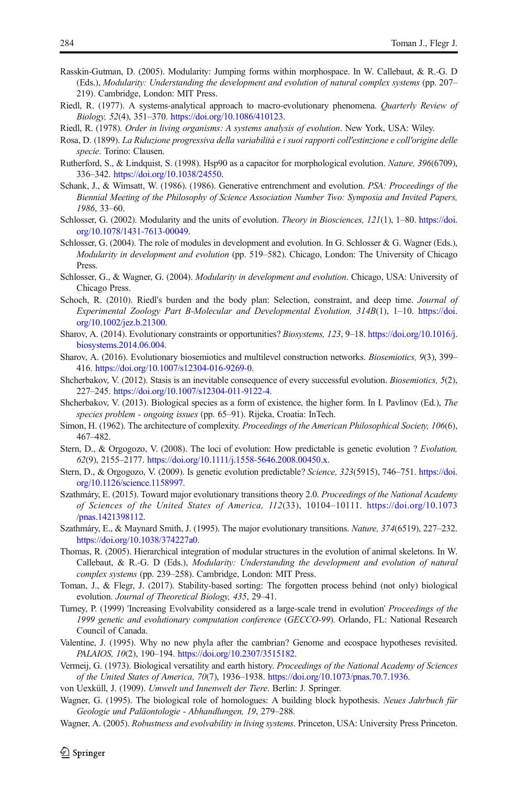- <span id="page-21-0"></span>Rasskin-Gutman, D. (2005). Modularity: Jumping forms within morphospace. In W. Callebaut, & R.-G. D (Eds.), Modularity: Understanding the development and evolution of natural complex systems (pp. 207– 219). Cambridge, London: MIT Press.
- Riedl, R. (1977). A systems-analytical approach to macro-evolutionary phenomena. Quarterly Review of Biology, 52(4), 351–370. <https://doi.org/10.1086/410123>.
- Riedl, R. (1978). Order in living organisms: A systems analysis of evolution. New York, USA: Wiley.
- Rosa, D. (1899). La Riduzione progressiva della variabilità e i suoi rapporti coll'estinzione e coll'origine delle specie. Torino: Clausen.
- Rutherford, S., & Lindquist, S. (1998). Hsp90 as a capacitor for morphological evolution. Nature, 396(6709), 336–342. [https://doi.org/10.1038/24550.](https://doi.org/10.1038/24550)
- Schank, J., & Wimsatt, W. (1986). (1986). Generative entrenchment and evolution. PSA: Proceedings of the Biennial Meeting of the Philosophy of Science Association Number Two: Symposia and Invited Papers, 1986, 33–60.
- Schlosser, G. (2002). Modularity and the units of evolution. *Theory in Biosciences, 121*(1), 1–80. [https://doi.](https://doi.org/10.1078/1431-7613-00049) [org/10.1078/1431-7613-00049.](https://doi.org/10.1078/1431-7613-00049)
- Schlosser, G. (2004). The role of modules in development and evolution. In G. Schlosser & G. Wagner (Eds.), Modularity in development and evolution (pp. 519–582). Chicago, London: The University of Chicago Press.
- Schlosser, G., & Wagner, G. (2004). Modularity in development and evolution. Chicago, USA: University of Chicago Press.
- Schoch, R. (2010). Riedl's burden and the body plan: Selection, constraint, and deep time. Journal of Experimental Zoology Part B-Molecular and Developmental Evolution, 314B(1), 1–10. [https://doi.](https://doi.org/10.1002/jez.b.21300) [org/10.1002/jez.b.21300](https://doi.org/10.1002/jez.b.21300).
- Sharov, A. (2014). Evolutionary constraints or opportunities? Biosystems, 123, 9–18. [https://doi.org/10.1016/j.](https://doi.org/10.1016/j.biosystems.2014.06.004) [biosystems.2014.06.004.](https://doi.org/10.1016/j.biosystems.2014.06.004)
- Sharov, A. (2016). Evolutionary biosemiotics and multilevel construction networks. Biosemiotics, 9(3), 399– 416. [https://doi.org/10.1007/s12304-016-9269-0.](https://doi.org/10.1007/s12304-016-9269-0)
- Shcherbakov, V. (2012). Stasis is an inevitable consequence of every successful evolution. *Biosemiotics*, 5(2), 227–245. [https://doi.org/10.1007/s12304-011-9122-4.](https://doi.org/10.1007/s12304-011-9122-4)
- Shcherbakov, V. (2013). Biological species as a form of existence, the higher form. In I. Pavlinov (Ed.), The species problem - ongoing issues (pp. 65–91). Rijeka, Croatia: InTech.
- Simon, H. (1962). The architecture of complexity. Proceedings of the American Philosophical Society, 106(6), 467–482.
- Stern, D., & Orgogozo, V. (2008). The loci of evolution: How predictable is genetic evolution ? Evolution, 62(9), 2155–2177. <https://doi.org/10.1111/j.1558-5646.2008.00450.x>.
- Stern, D., & Orgogozo, V. (2009). Is genetic evolution predictable? Science, 323(5915), 746–751. [https://doi.](https://doi.org/10.1126/science.1158997) [org/10.1126/science.1158997](https://doi.org/10.1126/science.1158997).
- Szathmáry, E. (2015). Toward major evolutionary transitions theory 2.0. Proceedings of the National Academy of Sciences of the United States of America, 112(33), 10104–10111. [https://doi.org/10.1073](https://doi.org/10.1073/pnas.1421398112) [/pnas.1421398112](https://doi.org/10.1073/pnas.1421398112).
- Szathmáry, E., & Maynard Smith, J. (1995). The major evolutionary transitions. Nature, 374(6519), 227–232. [https://doi.org/10.1038/374227a0.](https://doi.org/10.1038/374227a0)
- Thomas, R. (2005). Hierarchical integration of modular structures in the evolution of animal skeletons. In W. Callebaut, & R.-G. D (Eds.), Modularity: Understanding the development and evolution of natural complex systems (pp. 239–258). Cambridge, London: MIT Press.
- Toman, J., & Flegr, J. (2017). Stability-based sorting: The forgotten process behind (not only) biological evolution. Journal of Theoretical Biology, 435, 29–41.
- Turney, P. (1999) 'Increasing Evolvability considered as a large-scale trend in evolution' Proceedings of the 1999 genetic and evolutionary computation conference (GECCO-99). Orlando, FL: National Research Council of Canada.
- Valentine, J. (1995). Why no new phyla after the cambrian? Genome and ecospace hypotheses revisited. PALAIOS, 10(2), 190-194. [https://doi.org/10.2307/3515182.](https://doi.org/10.2307/3515182)
- Vermeij, G. (1973). Biological versatility and earth history. Proceedings of the National Academy of Sciences of the United States of America, 70(7), 1936–1938. <https://doi.org/10.1073/pnas.70.7.1936>.
- von Uexküll, J. (1909). Umwelt und Innenwelt der Tiere. Berlin: J. Springer.
- Wagner, G. (1995). The biological role of homologues: A building block hypothesis. Neues Jahrbuch für Geologie und Paläontologie - Abhandlungen, 19, 279–288.
- Wagner, A. (2005). Robustness and evolvability in living systems. Princeton, USA: University Press Princeton.